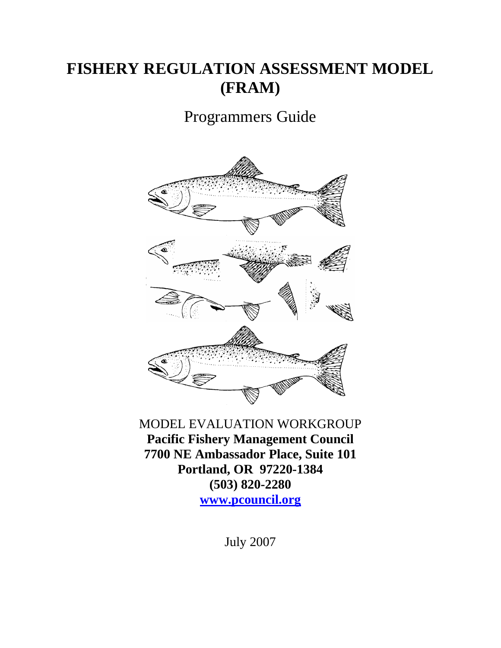# **FISHERY REGULATION ASSESSMENT MODEL (FRAM)**

# Programmers Guide



MODEL EVALUATION WORKGROUP **Pacific Fishery Management Council 7700 NE Ambassador Place, Suite 101 Portland, OR 97220-1384 (503) 820-2280 www.pcouncil.org**

July 2007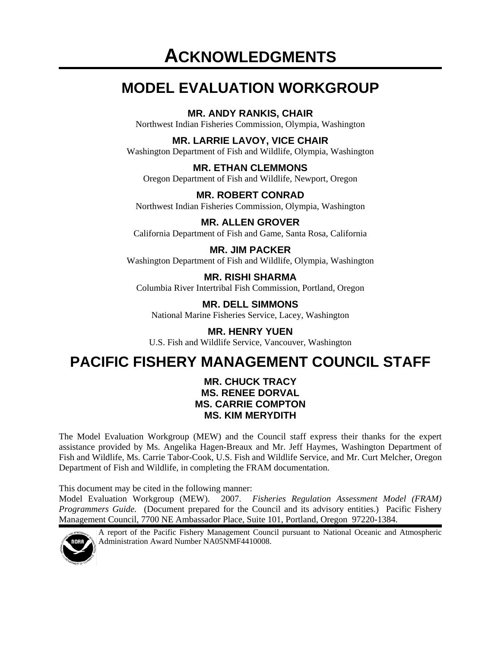# **MODEL EVALUATION WORKGROUP**

### **MR. ANDY RANKIS, CHAIR**

Northwest Indian Fisheries Commission, Olympia, Washington

### **MR. LARRIE LAVOY, VICE CHAIR**

Washington Department of Fish and Wildlife, Olympia, Washington

**MR. ETHAN CLEMMONS**  Oregon Department of Fish and Wildlife, Newport, Oregon

**MR. ROBERT CONRAD**  Northwest Indian Fisheries Commission, Olympia, Washington

**MR. ALLEN GROVER**  California Department of Fish and Game, Santa Rosa, California

**MR. JIM PACKER**  Washington Department of Fish and Wildlife, Olympia, Washington

**MR. RISHI SHARMA**  Columbia River Intertribal Fish Commission, Portland, Oregon

**MR. DELL SIMMONS**  National Marine Fisheries Service, Lacey, Washington

**MR. HENRY YUEN**  U.S. Fish and Wildlife Service, Vancouver, Washington

# **PACIFIC FISHERY MANAGEMENT COUNCIL STAFF**

### **MR. CHUCK TRACY MS. RENEE DORVAL MS. CARRIE COMPTON MS. KIM MERYDITH**

The Model Evaluation Workgroup (MEW) and the Council staff express their thanks for the expert assistance provided by Ms. Angelika Hagen-Breaux and Mr. Jeff Haymes, Washington Department of Fish and Wildlife, Ms. Carrie Tabor-Cook, U.S. Fish and Wildlife Service, and Mr. Curt Melcher, Oregon Department of Fish and Wildlife, in completing the FRAM documentation.

This document may be cited in the following manner:

Model Evaluation Workgroup (MEW). 2007. *Fisheries Regulation Assessment Model (FRAM) Programmers Guide.* (Document prepared for the Council and its advisory entities.) Pacific Fishery Management Council, 7700 NE Ambassador Place, Suite 101, Portland, Oregon 97220-1384.



A report of the Pacific Fishery Management Council pursuant to National Oceanic and Atmospheric Administration Award Number NA05NMF4410008.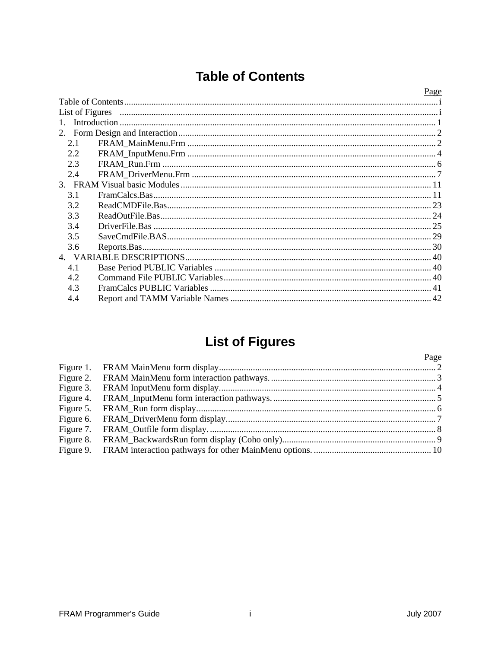# **Table of Contents**

|                 | Page |
|-----------------|------|
|                 |      |
| List of Figures |      |
| $\mathbf{1}$    |      |
|                 |      |
| 2.1             |      |
| 2.2             |      |
| 2.3             |      |
| 2.4             |      |
|                 |      |
| 3.1             |      |
| 3.2             |      |
| 3.3             |      |
| 3.4             |      |
| 3.5             |      |
| 3.6             |      |
|                 |      |
| 4.1             |      |
| 4.2             |      |
| 4.3             |      |
| 4.4             |      |

# **List of Figures**

|           | Page |
|-----------|------|
| Figure 1. |      |
| Figure 2. |      |
| Figure 3. |      |
| Figure 4. |      |
| Figure 5. |      |
| Figure 6. |      |
| Figure 7. |      |
| Figure 8. |      |
| Figure 9. |      |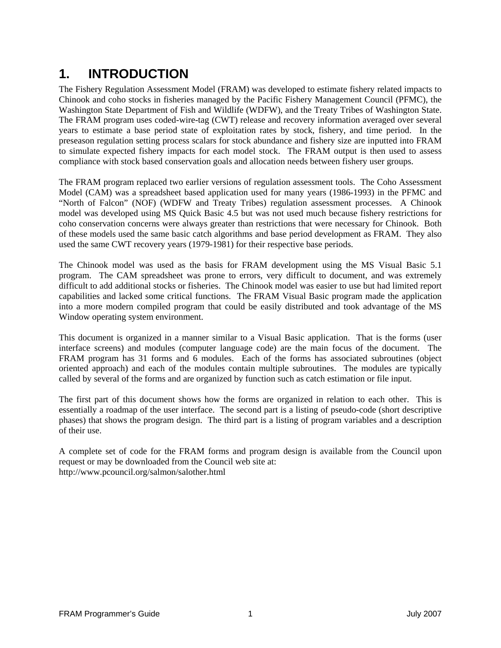# **1. INTRODUCTION**

The Fishery Regulation Assessment Model (FRAM) was developed to estimate fishery related impacts to Chinook and coho stocks in fisheries managed by the Pacific Fishery Management Council (PFMC), the Washington State Department of Fish and Wildlife (WDFW), and the Treaty Tribes of Washington State. The FRAM program uses coded-wire-tag (CWT) release and recovery information averaged over several years to estimate a base period state of exploitation rates by stock, fishery, and time period. In the preseason regulation setting process scalars for stock abundance and fishery size are inputted into FRAM to simulate expected fishery impacts for each model stock. The FRAM output is then used to assess compliance with stock based conservation goals and allocation needs between fishery user groups.

The FRAM program replaced two earlier versions of regulation assessment tools. The Coho Assessment Model (CAM) was a spreadsheet based application used for many years (1986-1993) in the PFMC and "North of Falcon" (NOF) (WDFW and Treaty Tribes) regulation assessment processes. A Chinook model was developed using MS Quick Basic 4.5 but was not used much because fishery restrictions for coho conservation concerns were always greater than restrictions that were necessary for Chinook. Both of these models used the same basic catch algorithms and base period development as FRAM. They also used the same CWT recovery years (1979-1981) for their respective base periods.

The Chinook model was used as the basis for FRAM development using the MS Visual Basic 5.1 program. The CAM spreadsheet was prone to errors, very difficult to document, and was extremely difficult to add additional stocks or fisheries. The Chinook model was easier to use but had limited report capabilities and lacked some critical functions. The FRAM Visual Basic program made the application into a more modern compiled program that could be easily distributed and took advantage of the MS Window operating system environment.

This document is organized in a manner similar to a Visual Basic application. That is the forms (user interface screens) and modules (computer language code) are the main focus of the document. The FRAM program has 31 forms and 6 modules. Each of the forms has associated subroutines (object oriented approach) and each of the modules contain multiple subroutines. The modules are typically called by several of the forms and are organized by function such as catch estimation or file input.

The first part of this document shows how the forms are organized in relation to each other. This is essentially a roadmap of the user interface. The second part is a listing of pseudo-code (short descriptive phases) that shows the program design. The third part is a listing of program variables and a description of their use.

A complete set of code for the FRAM forms and program design is available from the Council upon request or may be downloaded from the Council web site at: http://www.pcouncil.org/salmon/salother.html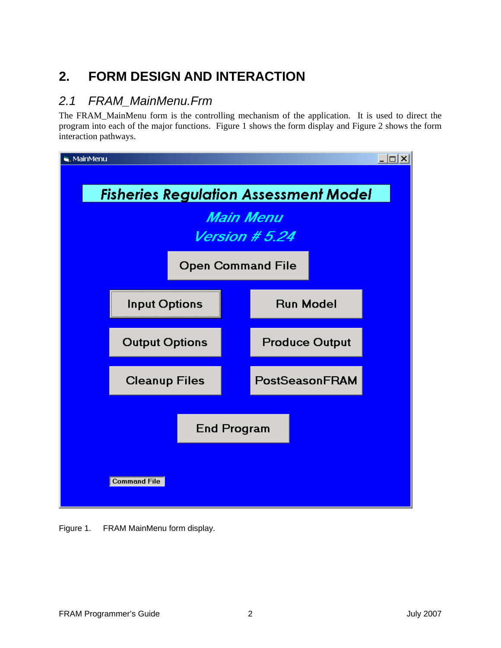# **2. FORM DESIGN AND INTERACTION**

### *2.1 FRAM\_MainMenu.Frm*

The FRAM\_MainMenu form is the controlling mechanism of the application. It is used to direct the program into each of the major functions. Figure 1 shows the form display and Figure 2 shows the form interaction pathways.



Figure 1. FRAM MainMenu form display.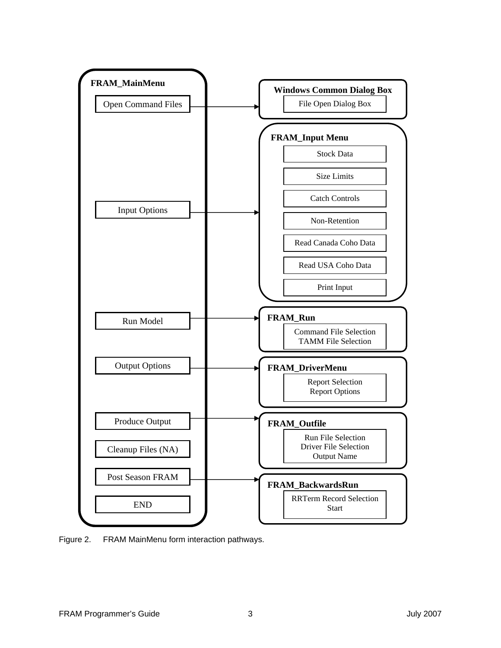

Figure 2. FRAM MainMenu form interaction pathways.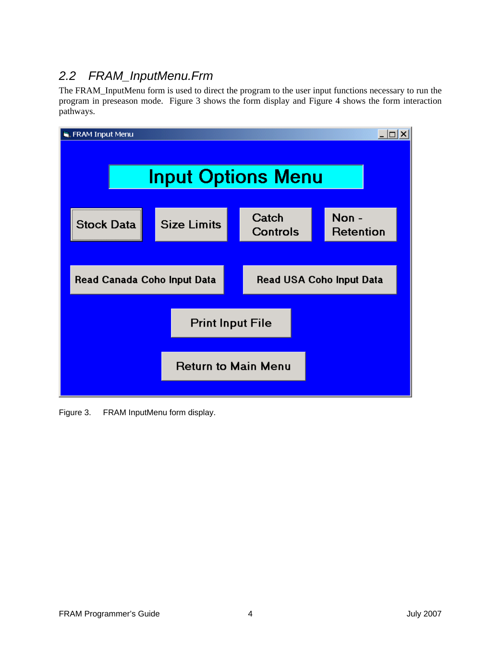### *2.2 FRAM\_InputMenu.Frm*

The FRAM\_InputMenu form is used to direct the program to the user input functions necessary to run the program in preseason mode. Figure 3 shows the form display and Figure 4 shows the form interaction pathways.

| FRAM Input Menu             |                    |                          |                                 |
|-----------------------------|--------------------|--------------------------|---------------------------------|
| <b>Input Options Menu</b>   |                    |                          |                                 |
| <b>Stock Data</b>           | <b>Size Limits</b> | Catch<br><b>Controls</b> | Non-<br>Retention               |
|                             |                    |                          |                                 |
| Read Canada Coho Input Data |                    |                          | <b>Read USA Coho Input Data</b> |
| <b>Print Input File</b>     |                    |                          |                                 |
| <b>Return to Main Menu</b>  |                    |                          |                                 |

Figure 3. FRAM InputMenu form display.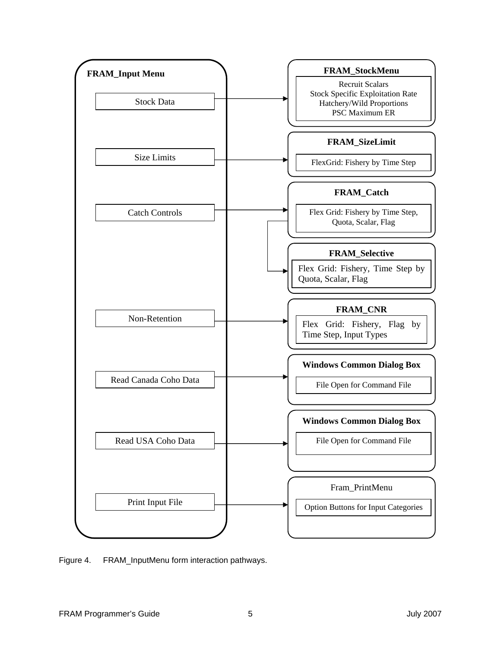

Figure 4. FRAM\_InputMenu form interaction pathways.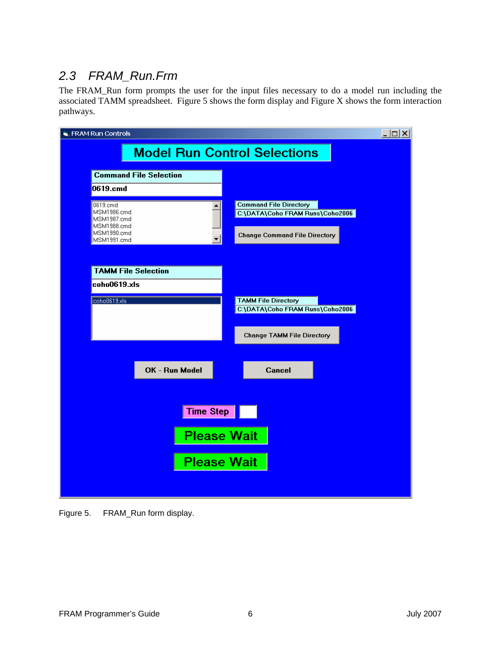### *2.3 FRAM\_Run.Frm*

The FRAM\_Run form prompts the user for the input files necessary to do a model run including the associated TAMM spreadsheet. Figure 5 shows the form display and Figure X shows the form interaction pathways.

| $\Box$ $\Box$ $\times$<br><b>E.</b> FRAM Run Controls |                               |                                                                  |  |
|-------------------------------------------------------|-------------------------------|------------------------------------------------------------------|--|
| <b>Model Run Control Selections</b>                   |                               |                                                                  |  |
|                                                       |                               |                                                                  |  |
|                                                       | <b>Command File Selection</b> |                                                                  |  |
| 0619.cmd                                              |                               |                                                                  |  |
| 0619.cmd<br>MSM1986.cmd                               |                               | <b>Command File Directory</b><br>C:\DATA\Coho FRAM Runs\Coho2006 |  |
| MSM1987.cmd<br>MSM1988.cmd                            |                               |                                                                  |  |
| MSM1990.cmd<br>MSM1991.cmd                            |                               | <b>Change Command File Directory</b>                             |  |
|                                                       |                               |                                                                  |  |
| <b>TAMM File Selection</b>                            |                               |                                                                  |  |
| coho0619.xls                                          |                               |                                                                  |  |
| coho0619.xls                                          |                               | <b>TAMM File Directory</b>                                       |  |
|                                                       |                               | C:\DATA\Coho FRAM Runs\Coho2006                                  |  |
|                                                       |                               | <b>Change TAMM File Directory</b>                                |  |
|                                                       |                               |                                                                  |  |
|                                                       |                               |                                                                  |  |
|                                                       | OK - Run Model                | <b>Cancel</b>                                                    |  |
|                                                       |                               |                                                                  |  |
|                                                       | Time Step                     |                                                                  |  |
|                                                       |                               |                                                                  |  |
|                                                       | <b>Please Wait</b>            |                                                                  |  |
|                                                       | <b>Please Wait</b>            |                                                                  |  |
|                                                       |                               |                                                                  |  |
|                                                       |                               |                                                                  |  |

Figure 5. FRAM\_Run form display.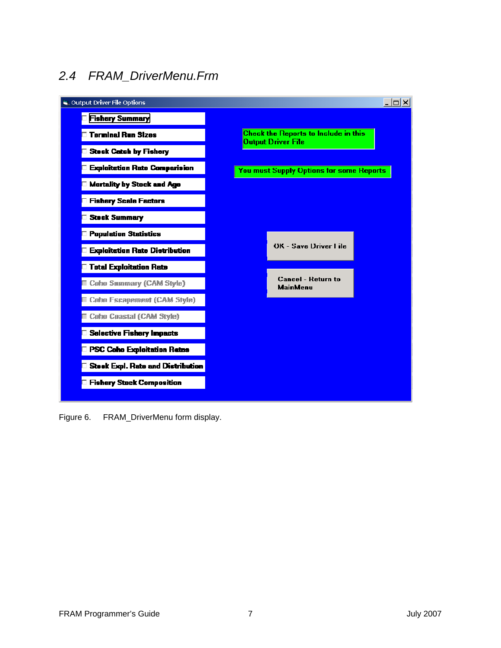# *2.4 FRAM\_DriverMenu.Frm*



Figure 6. FRAM\_DriverMenu form display.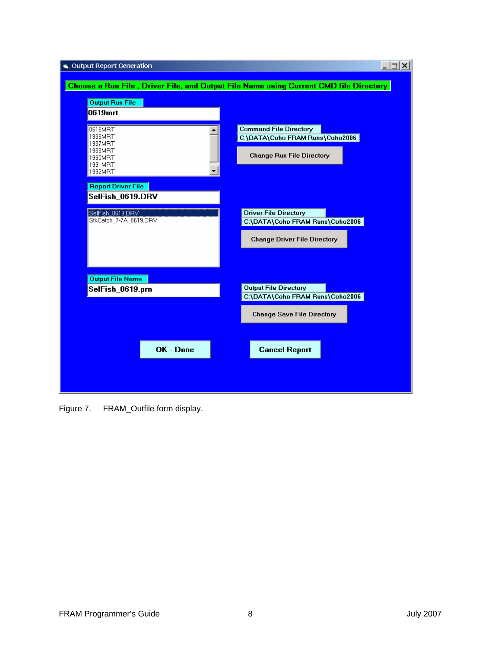| Cutput Report Generation          | $  D $ $\times$                                                                       |
|-----------------------------------|---------------------------------------------------------------------------------------|
|                                   | Choose a Run File, Driver File, and Output File Name using Current CMD file Directory |
|                                   |                                                                                       |
| <b>Output Run File</b><br>0619mrt |                                                                                       |
|                                   |                                                                                       |
| 0619MRT<br>1986MRT                | <b>Command File Directory</b><br>C:\DATA\Coho FRAM Runs\Coho2006                      |
| 1987MRT<br>1988MRT                |                                                                                       |
| 1990MRT<br>1991MRT                | <b>Change Run File Directory</b>                                                      |
| 1992MRT                           |                                                                                       |
| <b>Report Driver File</b>         |                                                                                       |
| SelFish_0619.DRV                  |                                                                                       |
| SelFish_0619.DRV                  | <b>Driver File Directory</b>                                                          |
| StkCatch_7-7A_0619.DRV            | C:\DATA\Coho FRAM Runs\Coho2006                                                       |
|                                   | <b>Change Driver File Directory</b>                                                   |
|                                   |                                                                                       |
|                                   |                                                                                       |
| <b>Output File Name</b>           | <b>Output File Directory</b>                                                          |
| SelFish_0619.prn                  | C:\DATA\Coho FRAM Runs\Coho2006                                                       |
|                                   | <b>Change Save File Directory</b>                                                     |
|                                   |                                                                                       |
|                                   |                                                                                       |
| OK - Done                         | <b>Cancel Report</b>                                                                  |
|                                   |                                                                                       |
|                                   |                                                                                       |
|                                   |                                                                                       |

Figure 7. FRAM\_Outfile form display.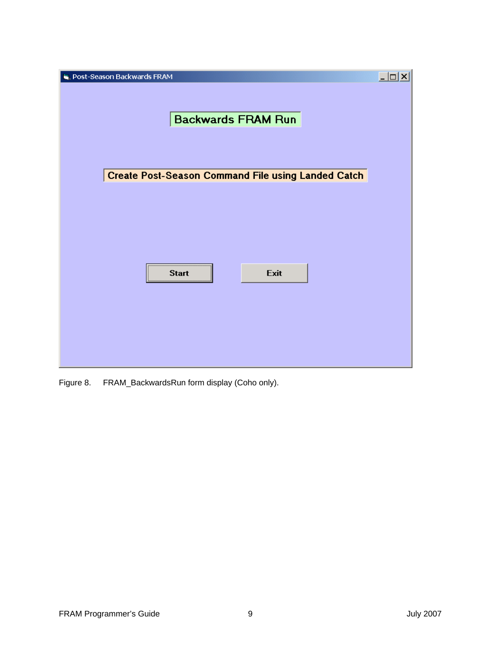| <b>R</b> Post-Season Backwards FRAM                       | $\Box$ |
|-----------------------------------------------------------|--------|
|                                                           |        |
|                                                           |        |
| <b>Backwards FRAM Run</b>                                 |        |
|                                                           |        |
|                                                           |        |
| <b>Create Post-Season Command File using Landed Catch</b> |        |
|                                                           |        |
|                                                           |        |
|                                                           |        |
|                                                           |        |
|                                                           |        |
| Exit<br><b>Start</b>                                      |        |
|                                                           |        |
|                                                           |        |
|                                                           |        |
|                                                           |        |
|                                                           |        |

Figure 8. FRAM\_BackwardsRun form display (Coho only).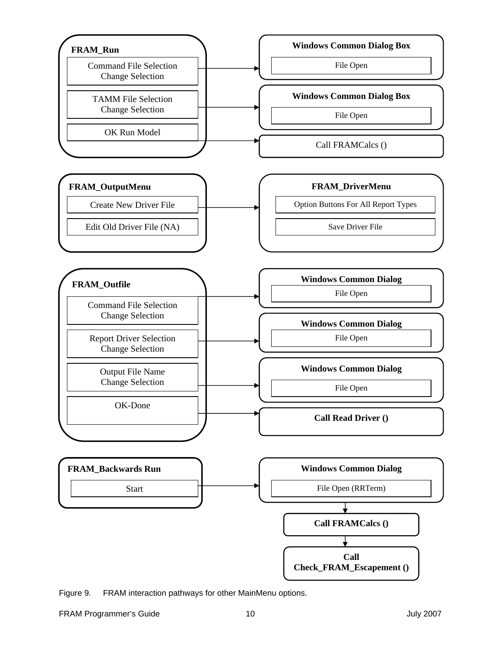

Figure 9. FRAM interaction pathways for other MainMenu options.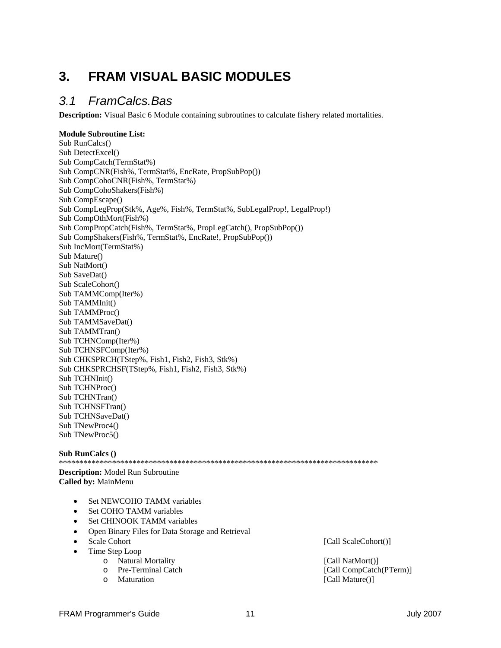# **3. FRAM VISUAL BASIC MODULES**

### *3.1 FramCalcs.Bas*

**Description:** Visual Basic 6 Module containing subroutines to calculate fishery related mortalities.

#### **Module Subroutine List:**  Sub RunCalcs() Sub DetectExcel() Sub CompCatch(TermStat%) Sub CompCNR(Fish%, TermStat%, EncRate, PropSubPop()) Sub CompCohoCNR(Fish%, TermStat%) Sub CompCohoShakers(Fish%) Sub CompEscape() Sub CompLegProp(Stk%, Age%, Fish%, TermStat%, SubLegalProp!, LegalProp!) Sub CompOthMort(Fish%) Sub CompPropCatch(Fish%, TermStat%, PropLegCatch(), PropSubPop()) Sub CompShakers(Fish%, TermStat%, EncRate!, PropSubPop()) Sub IncMort(TermStat%) Sub Mature() Sub NatMort() Sub SaveDat() Sub ScaleCohort() Sub TAMMComp(Iter%) Sub TAMMInit() Sub TAMMProc() Sub TAMMSaveDat() Sub TAMMTran() Sub TCHNComp(Iter%) Sub TCHNSFComp(Iter%) Sub CHKSPRCH(TStep%, Fish1, Fish2, Fish3, Stk%) Sub CHKSPRCHSF(TStep%, Fish1, Fish2, Fish3, Stk%) Sub TCHNInit() Sub TCHNProc() Sub TCHNTran() Sub TCHNSFTran() Sub TCHNSaveDat() Sub TNewProc4() Sub TNewProc5()

#### **Sub RunCalcs ()**

\*\*\*\*\*\*\*\*\*\*\*\*\*\*\*\*\*\*\*\*\*\*\*\*\*\*\*\*\*\*\*\*\*\*\*\*\*\*\*\*\*\*\*\*\*\*\*\*\*\*\*\*\*\*\*\*\*\*\*\*\*\*\*\*\*\*\*\*\*\*\*\*\*\*\*\*\*\*

**Description:** Model Run Subroutine **Called by:** MainMenu

- Set NEWCOHO TAMM variables
- Set COHO TAMM variables
- Set CHINOOK TAMM variables
- Open Binary Files for Data Storage and Retrieval
- 
- Time Step Loop
	-
	-
	-

• Scale Cohort [Call ScaleCohort()]

o Natural Mortality [Call NatMort()]<br>
o Pre-Terminal Catch [Call CompCatch] [Call CompCatch(PTerm)] o Maturation [Call Mature()]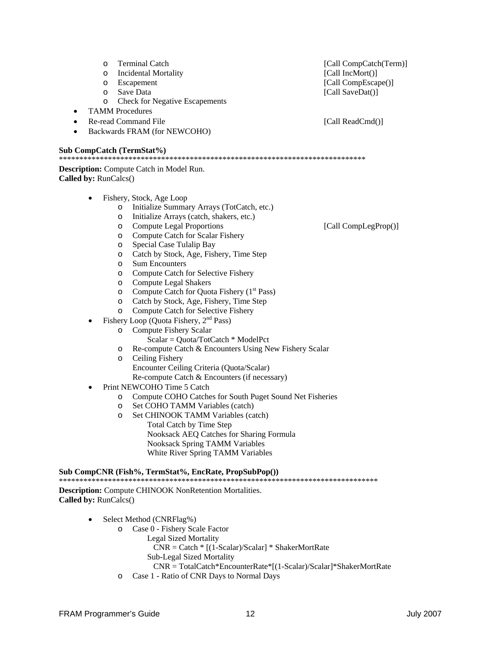o Sum Encounters<br>
∩ Compute Catch f Compute Catch for Selective Fishery o Compute Legal Shakers  $\circ$  Compute Catch for Quota Fishery (1<sup>st</sup> Pass) o Catch by Stock, Age, Fishery, Time Step o Compute Catch for Selective Fishery Fishery Loop (Quota Fishery, 2<sup>nd</sup> Pass) o Compute Fishery Scalar Scalar = Quota/TotCatch \* ModelPct o Re-compute Catch & Encounters Using New Fishery Scalar o Ceiling Fishery Encounter Ceiling Criteria (Quota/Scalar)

o Compute Catch for Scalar Fishery

o Special Case Tulalip Bay

o Initialize Summary Arrays (TotCatch, etc.) o Initialize Arrays (catch, shakers, etc.)

o Catch by Stock, Age, Fishery, Time Step

- Re-compute Catch & Encounters (if necessary)
- Print NEWCOHO Time 5 Catch
	- o Compute COHO Catches for South Puget Sound Net Fisheries
	- o Set COHO TAMM Variables (catch)
	- o Set CHINOOK TAMM Variables (catch)
		- Total Catch by Time Step Nooksack AEQ Catches for Sharing Formula Nooksack Spring TAMM Variables White River Spring TAMM Variables

**Sub CompCNR (Fish%, TermStat%, EncRate, PropSubPop())**  \*\*\*\*\*\*\*\*\*\*\*\*\*\*\*\*\*\*\*\*\*\*\*\*\*\*\*\*\*\*\*\*\*\*\*\*\*\*

**Description:** Compute CHINOOK NonRetention Mortalities. **Called by:** RunCalcs()

- Select Method (CNRFlag%)
	- o Case 0 Fishery Scale Factor
		- Legal Sized Mortality
			- CNR = Catch \* [(1-Scalar)/Scalar] \* ShakerMortRate
			- Sub-Legal Sized Mortality
		- CNR = TotalCatch\*EncounterRate\*[(1-Scalar)/Scalar]\*ShakerMortRate
	- o Case 1 Ratio of CNR Days to Normal Days

o Compute Legal Proportions [Call CompLegProp()]

o Incidental Mortality [Call IncMort()] o Escapement [Call CompEscape()] o Save Data [Call SaveDat()]

o Terminal Catch [Call CompCatch(Term)]

o Check for Negative Escapements

- TAMM Procedures
- **Particle Re-read Command File** [Call ReadCmd()]

**Description:** Compute Catch in Model Run.

• Fishery, Stock, Age Loop

• Backwards FRAM (for NEWCOHO)

#### **Sub CompCatch (TermStat%)**  \*\*\*\*\*\*\*\*\*\*\*\*\*\*\*\*\*\*\*\*\*\*\*\*\*\*\*\*\*\*\*\*\*\*\*\*\*\*\*\*\*\*\*\*\*\*\*\*\*\*\*\*\*\*\*\*\*\*\*\*\*\*\*\*\*\*\*\*\*\*\*\*\*\*\*

**Called by:** RunCalcs()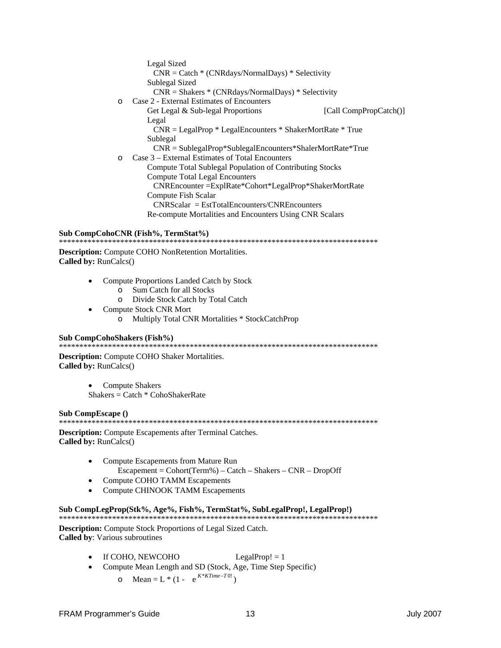Legal Sized  $CNR = \text{Catch} * (\text{CNRdays/NormalDays}) * \text{Selectivity}$ Sublegal Sized  $CNR = Shakers * (CNRdays/NormalDays) * Selectivity$ o Case 2 - External Estimates of Encounters Get Legal & Sub-legal Proportions [Call CompPropCatch()] Legal  $CNR = LegalProp * LegalEncounters * ShakerMortRate * True$ Sublegal  $CNR = SublegalProp*SublegalEn counters*ShalerMortRate*True$ o Case 3 – External Estimates of Total Encounters Compute Total Sublegal Population of Contributing Stocks **Compute Total Legal Encounters** CNREncounter = ExplRate\* Cohort\* LegalProp\* Shaker MortRate **Compute Fish Scalar**  $CNRScalar = EstTotalEnc征ters/CNREnc征ters$ Re-compute Mortalities and Encounters Using CNR Scalars

#### Sub CompCohoCNR (Fish%, TermStat%)

**Description:** Compute COHO NonRetention Mortalities. Called by: RunCalcs()

- Compute Proportions Landed Catch by Stock  $\bullet$ 
	- o Sum Catch for all Stocks
	- o Divide Stock Catch by Total Catch
- Compute Stock CNR Mort o Multiply Total CNR Mortalities \* StockCatchProp

#### Sub CompCohoShakers (Fish%)

**Description:** Compute COHO Shaker Mortalities. Called by: RunCalcs()

**Compute Shakers** 

 $Shakers = Catch * CohoShakerRate$ 

#### Sub CompEscape ()

**Description:** Compute Escapements after Terminal Catches. Called by: RunCalcs()

- Compute Escapements from Mature Run  $\text{Escapement} = \text{Cohort}(\text{Term}\%) - \text{Catch} - \text{Shakers} - \text{CNR} - \text{DropOff}$
- Compute COHO TAMM Escapements  $\bullet$
- **Compute CHINOOK TAMM Escapements**

#### Sub CompLegProp(Stk%, Age%, Fish%, TermStat%, SubLegalProp!, LegalProp!)

Description: Compute Stock Proportions of Legal Sized Catch. **Called by:** Various subroutines

- If COHO, NEWCOHO LegalProp!  $= 1$
- Compute Mean Length and SD (Stock, Age, Time Step Specific)
	- o Mean = L \* (1  $e^{K*KTime-T0!}$ )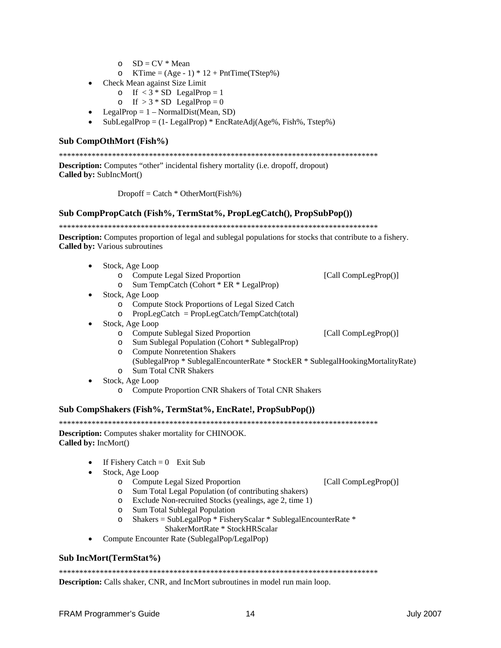- $O$  SD = CV \* Mean
- o KTime =  $(Age 1) * 12 + PntTime(TStep%)$
- Check Mean against Size Limit  $\bullet$ 
	- o If  $<$  3 \* SD LegalProp = 1
	- o If  $> 3 * SD$  LegalProp = 0
- LegalProp =  $1 NormalDist(Mean, SD)$
- $SubLegalProp = (1 LegalProp) * EncRateAdj(Age%, Fish%, Tstep%)$

#### Sub CompOthMort (Fish%)

**Description:** Computes "other" incidental fishery mortality (i.e. dropoff, dropout) Called by: SubIncMort()

 $Dropoff = Catch * OtherMort(Fish%)$ 

#### Sub CompPropCatch (Fish%, TermStat%, PropLegCatch(), PropSubPop())

**Description:** Computes proportion of legal and sublegal populations for stocks that contribute to a fishery. Called by: Various subroutines

- Stock, Age Loop  $\bullet$ 
	- o Compute Legal Sized Proportion
	- o Sum TempCatch (Cohort  $*$  ER  $*$  LegalProp)
- Stock, Age Loop
	- o Compute Stock Proportions of Legal Sized Catch
	- o PropLegCatch = PropLegCatch/TempCatch(total)
- Stock, Age Loop
	- o Compute Sublegal Sized Proportion [Call CompLegProp()]
	- Sum Sublegal Population (Cohort \* SublegalProp)  $\circ$
	- o Compute Nonretention Shakers

[Call CompLegProp()]

- (SublegalProp \* SublegalEncounterRate \* StockER \* SublegalHookingMortalityRate) o Sum Total CNR Shakers
- Stock, Age Loop
	- o Compute Proportion CNR Shakers of Total CNR Shakers

#### Sub CompShakers (Fish%, TermStat%, EncRate!, PropSubPop())

**Description:** Computes shaker mortality for CHINOOK. Called by: IncMort()

- If Fishery Catch =  $0$  Exit Sub
- Stock, Age Loop
	- o Compute Legal Sized Proportion [Call CompLegProp()]
	- o Sum Total Legal Population (of contributing shakers)
	- o Exclude Non-recruited Stocks (yealings, age 2, time 1)
	- o Sum Total Sublegal Population
	- Shakers = SubLegalPop \* FisheryScalar \* SublegalEncounterRate \*  $\circ$ ShakerMortRate \* StockHRScalar
- Compute Encounter Rate (SublegalPop/LegalPop)

#### Sub IncMort(TermStat%)

**Description:** Calls shaker, CNR, and IncMort subroutines in model run main loop.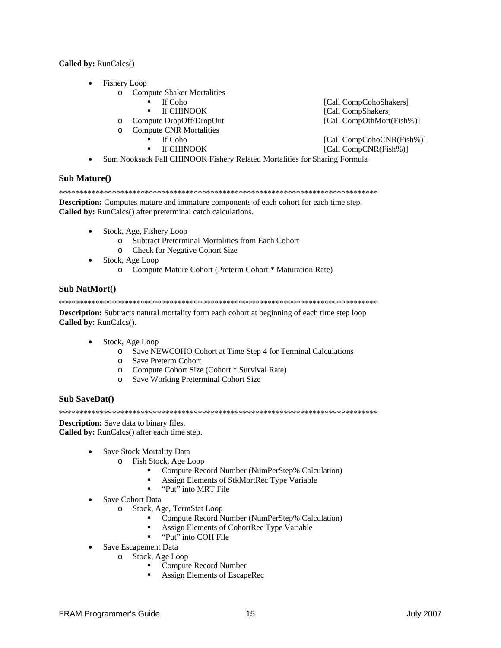#### Called by: RunCalcs()

- **Fishery Loop** 
	- **o** Compute Shaker Mortalities
		- $\blacksquare$ If Coho
		- If CHINOOK
	- o Compute DropOff/DropOut
	- **Compute CNR Mortalities**  $\circ$ 
		- If Coho  $\blacksquare$
		- $\blacksquare$ If CHINOOK
- [Call CompCohoShakers] [Call CompShakers] [Call CompOthMort(Fish%)]
- [Call CompCohoCNR(Fish%)] [Call CompCNR(Fish%)]
- Sum Nooksack Fall CHINOOK Fishery Related Mortalities for Sharing Formula

#### **Sub Mature()**

**Description:** Computes mature and immature components of each cohort for each time step. Called by: RunCalcs() after preterminal catch calculations.

- Stock, Age, Fishery Loop
	- o Subtract Preterminal Mortalities from Each Cohort
	- o Check for Negative Cohort Size
- Stock, Age Loop
	- o Compute Mature Cohort (Preterm Cohort \* Maturation Rate)

#### **Sub NatMort()**

**Description:** Subtracts natural mortality form each cohort at beginning of each time step loop Called by: RunCalcs().

- Stock, Age Loop
	- o Save NEWCOHO Cohort at Time Step 4 for Terminal Calculations
	- o Save Preterm Cohort
	- o Compute Cohort Size (Cohort \* Survival Rate)
	- o Save Working Preterminal Cohort Size

#### **Sub SaveDat()**

**Description:** Save data to binary files. Called by: RunCalcs() after each time step.

- Save Stock Mortality Data  $\bullet$ 
	- o Fish Stock, Age Loop
		- Compute Record Number (NumPerStep% Calculation)
		- Assign Elements of StkMortRec Type Variable
		- $\blacksquare$ "Put" into MRT File
- Save Cohort Data
	- o Stock, Age, TermStat Loop
		- Compute Record Number (NumPerStep% Calculation)
		- Assign Elements of CohortRec Type Variable
		- "Put" into COH File
- Save Escapement Data
	- o Stock, Age Loop
		- Compute Record Number
		- Assign Elements of EscapeRec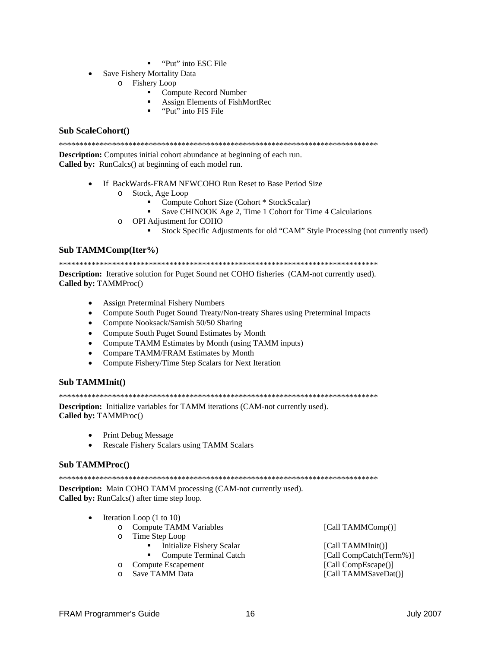- "Put" into ESC File"
- Save Fishery Mortality Data  $\bullet$ 
	- o Fishery Loop
		- Compute Record Number  $\mathbf{u}$
		- Assign Elements of FishMortRec
		- "Put" into FIS File

#### **Sub ScaleCohort()**

**Description:** Computes initial cohort abundance at beginning of each run. **Called by:** RunCalcs() at beginning of each model run.

- If BackWards-FRAM NEWCOHO Run Reset to Base Period Size
	- o Stock, Age Loop
		- Compute Cohort Size (Cohort \* StockScalar)
		- Save CHINOOK Age 2, Time 1 Cohort for Time 4 Calculations
	- o OPI Adjustment for COHO
		- Stock Specific Adjustments for old "CAM" Style Processing (not currently used)

#### Sub TAMMComp(Iter%)

**Description:** Iterative solution for Puget Sound net COHO fisheries (CAM-not currently used). Called by: TAMMProc()

- Assign Preterminal Fishery Numbers
- Compute South Puget Sound Treaty/Non-treaty Shares using Preterminal Impacts
- Compute Nooksack/Samish 50/50 Sharing
- Compute South Puget Sound Estimates by Month
- Compute TAMM Estimates by Month (using TAMM inputs)
- Compare TAMM/FRAM Estimates by Month  $\bullet$
- Compute Fishery/Time Step Scalars for Next Iteration

#### Sub TAMMInit()

**Description:** Initialize variables for TAMM iterations (CAM-not currently used). Called by: TAMMProc()

- **Print Debug Message**  $\bullet$
- Rescale Fishery Scalars using TAMM Scalars  $\bullet$

#### **Sub TAMMProc**()

**Description:** Main COHO TAMM processing (CAM-not currently used). Called by: RunCalcs() after time step loop.

- $\bullet$ Iteration Loop (1 to 10)
	- o Compute TAMM Variables
	- o Time Step Loop
		- $\blacksquare$ **Initialize Fishery Scalar** 
			- $\blacksquare$ **Compute Terminal Catch**
	- o Compute Escapement
	- Save TAMM Data  $\cap$

[Call TAMMComp()]

[Call TAMMInit()] [Call CompCatch(Term%)] [Call CompEscape()] [Call TAMMSaveDat()]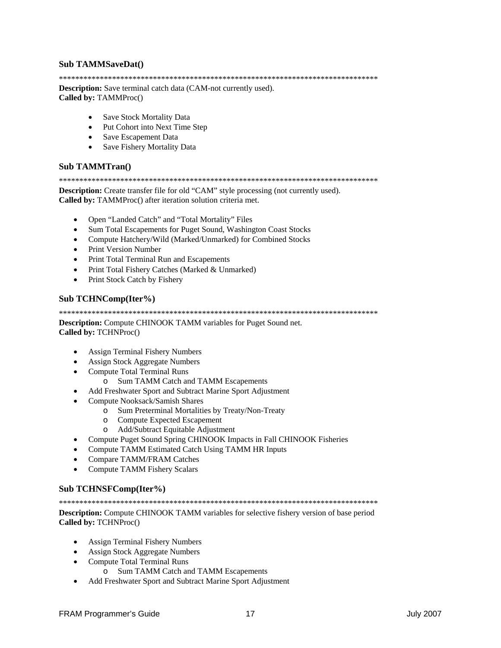#### **Sub TAMMSaveDat()**

#### 

**Description:** Save terminal catch data (CAM-not currently used). Called by: TAMMProc()

- Save Stock Mortality Data
- Put Cohort into Next Time Step
- Save Escapement Data
- Save Fishery Mortality Data

#### **Sub TAMMTran()**

#### 

**Description:** Create transfer file for old "CAM" style processing (not currently used). Called by: TAMMProc() after iteration solution criteria met.

- Open "Landed Catch" and "Total Mortality" Files  $\bullet$
- Sum Total Escapements for Puget Sound, Washington Coast Stocks
- Compute Hatchery/Wild (Marked/Unmarked) for Combined Stocks
- Print Version Number
- Print Total Terminal Run and Escapements
- Print Total Fishery Catches (Marked & Unmarked)
- Print Stock Catch by Fishery  $\bullet$

#### Sub TCHNComp(Iter%)

Description: Compute CHINOOK TAMM variables for Puget Sound net. Called by: TCHNProc()

- **Assign Terminal Fishery Numbers**
- **Assign Stock Aggregate Numbers**
- **Compute Total Terminal Runs**  $\bullet$ 
	- o Sum TAMM Catch and TAMM Escapements
- Add Freshwater Sport and Subtract Marine Sport Adjustment
- Compute Nooksack/Samish Shares  $\bullet$ 
	- o Sum Preterminal Mortalities by Treaty/Non-Treaty
	- o Compute Expected Escapement
	- o Add/Subtract Equitable Adjustment
- Compute Puget Sound Spring CHINOOK Impacts in Fall CHINOOK Fisheries  $\bullet$
- Compute TAMM Estimated Catch Using TAMM HR Inputs  $\bullet$
- Compare TAMM/FRAM Catches  $\bullet$
- $\bullet$ **Compute TAMM Fishery Scalars**

#### Sub TCHNSFComp(Iter%)

Description: Compute CHINOOK TAMM variables for selective fishery version of base period Called by: TCHNProc()

- **Assign Terminal Fishery Numbers**  $\bullet$
- **Assign Stock Aggregate Numbers**
- **Compute Total Terminal Runs**  $\bullet$ 
	- o Sum TAMM Catch and TAMM Escapements
- Add Freshwater Sport and Subtract Marine Sport Adjustment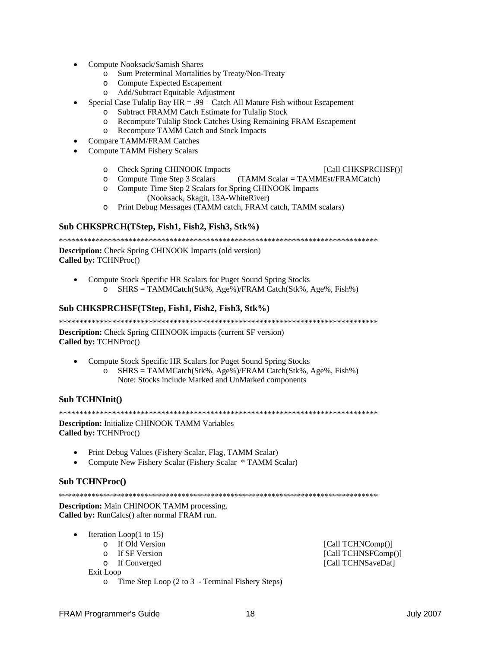- Compute Nooksack/Samish Shares
	- Sum Preterminal Mortalities by Treaty/Non-Treaty  $\circ$
	- **Compute Expected Escapement**  $\Omega$
	- Add/Subtract Equitable Adjustment  $\circ$
	- Special Case Tulalip Bay  $HR = .99 -$ Catch All Mature Fish without Escapement
		- o Subtract FRAMM Catch Estimate for Tulalip Stock
		- Recompute Tulalip Stock Catches Using Remaining FRAM Escapement  $\circ$
		- o Recompute TAMM Catch and Stock Impacts
- **Compare TAMM/FRAM Catches**
- **Compute TAMM Fishery Scalars** 
	- **Check Spring CHINOOK Impacts** [Call CHKSPRCHSF()]  $\circ$
	- Compute Time Step 3 Scalars (TAMM Scalar = TAMMEst/FRAMCatch)  $\Omega$
	- o Compute Time Step 2 Scalars for Spring CHINOOK Impacts (Nooksack, Skagit, 13A-WhiteRiver)
	- Print Debug Messages (TAMM catch, FRAM catch, TAMM scalars)  $\Omega$

#### Sub CHKSPRCH(TStep, Fish1, Fish2, Fish3, Stk%)

**Description:** Check Spring CHINOOK Impacts (old version) Called by: TCHNProc()

- Compute Stock Specific HR Scalars for Puget Sound Spring Stocks
	- SHRS = TAMMCatch(Stk%, Age%)/FRAM Catch(Stk%, Age%, Fish%)  $\circ$

#### Sub CHKSPRCHSF(TStep, Fish1, Fish2, Fish3, Stk%)

**Description:** Check Spring CHINOOK impacts (current SF version) Called by: TCHNProc()

- Compute Stock Specific HR Scalars for Puget Sound Spring Stocks
	- $SHRS = TAMM Catch(Stk\%, Age\%)/FRAM Catch(Stk\%, Age\%, Fish\%)$  $\Omega$ Note: Stocks include Marked and UnMarked components

#### Sub TCHNInit()

**Description:** Initialize CHINOOK TAMM Variables Called by: TCHNProc()

- Print Debug Values (Fishery Scalar, Flag, TAMM Scalar)
- Compute New Fishery Scalar (Fishery Scalar \* TAMM Scalar)  $\bullet$

#### **Sub TCHNProc()**

**Description:** Main CHINOOK TAMM processing. Called by: RunCalcs() after normal FRAM run.

- Iteration Loop $(1 \text{ to } 15)$ 
	- o If Old Version
	- o If SF Version
	- o If Converged

Exit Loop

o Time Step Loop  $(2 \text{ to } 3$  - Terminal Fishery Steps)

[Call TCHNComp()] [Call TCHNSFComp()] [Call TCHNSaveDat]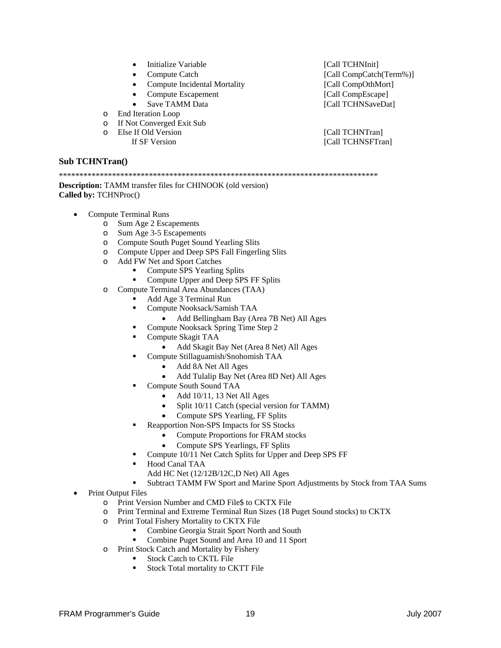- Initialize Variable [Call TCHNInit]
- 
- Compute Incidental Mortality [Call CompOthMort]
- Compute Escapement [Call CompEscape]
- 
- o End Iteration Loop
- o If Not Converged Exit Sub
	- -

**Sub TCHNTran()** 

\*\*\*\*\*\*\*\*\*\*\*\*\*\*\*\*\*\*\*\*\*\*\*\*\*\*\*\*\*\*\*\*\*\*\*\*\*\*\*\*\*\*\*\*\*\*\*\*\*\*\*\*\*\*\*\*\*\*\*\*\*\*\*\*\*\*\*\*\*\*\*\*\*\*\*\*\*\*

#### **Description:** TAMM transfer files for CHINOOK (old version) **Called by:** TCHNProc()

- Compute Terminal Runs
	- o Sum Age 2 Escapements
	- o Sum Age 3-5 Escapements
	- o Compute South Puget Sound Yearling Slits
	- o Compute Upper and Deep SPS Fall Fingerling Slits
	- o Add FW Net and Sport Catches
		- Compute SPS Yearling Splits
		- Compute Upper and Deep SPS FF Splits
	- o Compute Terminal Area Abundances (TAA)
		- Add Age 3 Terminal Run
		- Compute Nooksack/Samish TAA
			- Add Bellingham Bay (Area 7B Net) All Ages
		- Compute Nooksack Spring Time Step 2
		- Compute Skagit TAA
			- Add Skagit Bay Net (Area 8 Net) All Ages
		- Compute Stillaguamish/Snohomish TAA
			- Add 8A Net All Ages
			- Add Tulalip Bay Net (Area 8D Net) All Ages
		- Compute South Sound TAA
			- Add 10/11, 13 Net All Ages
			- Split 10/11 Catch (special version for TAMM)
			- Compute SPS Yearling, FF Splits
		- Reapportion Non-SPS Impacts for SS Stocks
			- Compute Proportions for FRAM stocks
			- Compute SPS Yearlings, FF Splits
		- Compute 10/11 Net Catch Splits for Upper and Deep SPS FF
		- Hood Canal TAA
			- Add HC Net (12/12B/12C,D Net) All Ages
		- Subtract TAMM FW Sport and Marine Sport Adjustments by Stock from TAA Sums
- Print Output Files
	- o Print Version Number and CMD File\$ to CKTX File
	- o Print Terminal and Extreme Terminal Run Sizes (18 Puget Sound stocks) to CKTX
	- o Print Total Fishery Mortality to CKTX File
		- Combine Georgia Strait Sport North and South<br>• Combine Puget Sound and Area 10 and 11 Sport
			- Combine Puget Sound and Area 10 and 11 Sport
	- o Print Stock Catch and Mortality by Fishery
		- Stock Catch to CKTL File
		- Stock Total mortality to CKTT File

• Compute Catch [Call CompCatch(Term%)] Save TAMM Data **Figure 1** [Call TCHNSaveDat]

o Else If Old Version [Call TCHNTran]<br>If SF Version [Call TCHNSFTran] [Call TCHNSFTran]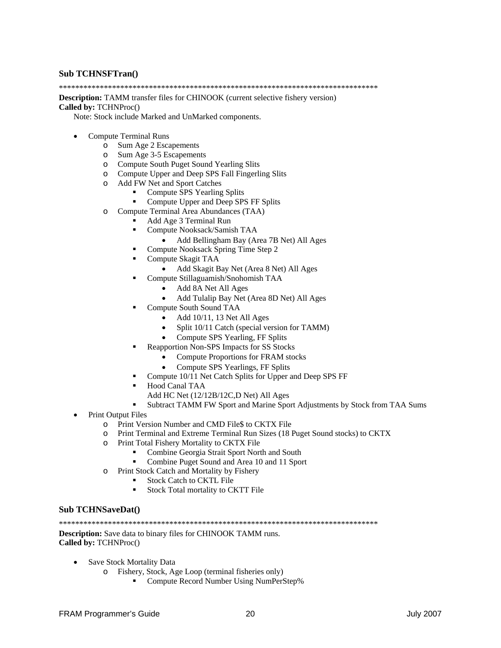#### **Sub TCHNSFTran()**

\*\*\*\*\*\*\*\*\*\*\*\*\*\*\*\*\*\*\*\*\*\*\*\*\*\*\*\*\*\*\*\*\*\*\*\*\*\*\*\*\*\*\*\*\*\*\*\*\*\*\*\*\*\*\*\*\*\*\*\*\*\*\*\*\*\*\*\*\*\*\*\*\*\*\*\*\*\*

**Description:** TAMM transfer files for CHINOOK (current selective fishery version)

#### **Called by:** TCHNProc()

Note: Stock include Marked and UnMarked components.

- Compute Terminal Runs
	-
	- o Sum Age 2 Escapements Sum Age 3-5 Escapements
	- o Compute South Puget Sound Yearling Slits
	- o Compute Upper and Deep SPS Fall Fingerling Slits
	- o Add FW Net and Sport Catches
		- Compute SPS Yearling Splits
		- Compute Upper and Deep SPS FF Splits
	- o Compute Terminal Area Abundances (TAA)
		- Add Age 3 Terminal Run
		- Compute Nooksack/Samish TAA
			- Add Bellingham Bay (Area 7B Net) All Ages
		- Compute Nooksack Spring Time Step 2
		- Compute Skagit TAA
			- Add Skagit Bay Net (Area 8 Net) All Ages
			- Compute Stillaguamish/Snohomish TAA
				- Add 8A Net All Ages
				- Add Tulalip Bay Net (Area 8D Net) All Ages
			- Compute South Sound TAA
				- Add  $10/11$ , 13 Net All Ages
				- Split 10/11 Catch (special version for TAMM)
				- Compute SPS Yearling, FF Splits
		- Reapportion Non-SPS Impacts for SS Stocks
			- Compute Proportions for FRAM stocks
			- Compute SPS Yearlings, FF Splits
			- Compute 10/11 Net Catch Splits for Upper and Deep SPS FF
		- Hood Canal TAA
		- Add HC Net (12/12B/12C,D Net) All Ages
		- Subtract TAMM FW Sport and Marine Sport Adjustments by Stock from TAA Sums
- Print Output Files
	- o Print Version Number and CMD File\$ to CKTX File
	- o Print Terminal and Extreme Terminal Run Sizes (18 Puget Sound stocks) to CKTX
	- o Print Total Fishery Mortality to CKTX File
		- Combine Georgia Strait Sport North and South
		- Combine Puget Sound and Area 10 and 11 Sport
	- o Print Stock Catch and Mortality by Fishery
		- Stock Catch to CKTL File
			- Stock Total mortality to CKTT File

#### **Sub TCHNSaveDat()**

\*\*\*\*\*\*\*\*\*\*\*\*\*\*\*\*\*\*\*\*\*\*\*\*\*\*\*\*\*\*\*\*\*\*\*\*\*\*\*\*\*\*\*\*\*\*\*\*\*\*\*\*\*\*\*\*\*\*\*\*\*\*\*\*\*\*\*\*\*\*\*\*\*\*\*\*\*\*

**Description:** Save data to binary files for CHINOOK TAMM runs. **Called by:** TCHNProc()

- Save Stock Mortality Data
	- o Fishery, Stock, Age Loop (terminal fisheries only)
		- Compute Record Number Using NumPerStep%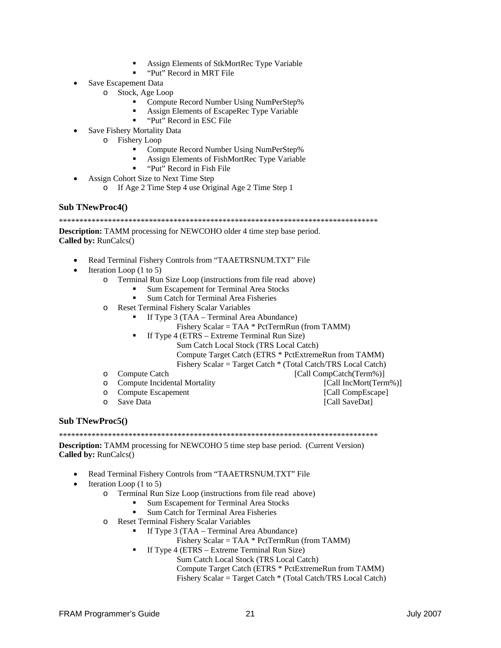- Assign Elements of StkMortRec Type Variable
- "Put" Record in MRT File
- Save Escapement Data
	- o Stock, Age Loop
		- Compute Record Number Using NumPerStep%
		- Assign Elements of EscapeRec Type Variable
		- "Put" Record in ESC File
- Save Fishery Mortality Data
	- o Fishery Loop
		- Compute Record Number Using NumPerStep%
		- Assign Elements of FishMortRec Type Variable
		- "Put" Record in Fish File
- Assign Cohort Size to Next Time Step
	- o If Age 2 Time Step 4 use Original Age 2 Time Step 1

#### **Sub TNewProc4()**

**Description:** TAMM processing for NEWCOHO older 4 time step base period.

Called by: RunCalcs()

- Read Terminal Fishery Controls from "TAAETRSNUM.TXT" File
- Iteration Loop  $(1 \text{ to } 5)$ 
	- o Terminal Run Size Loop (instructions from file read above)
		- Sum Escapement for Terminal Area Stocks
		- Sum Catch for Terminal Area Fisheries
	- o Reset Terminal Fishery Scalar Variables
		- If Type 3 (TAA Terminal Area Abundance)
			- Fishery Scalar = TAA  $*$  PctTermRun (from TAMM)
			- If Type 4 (ETRS Extreme Terminal Run Size)
				- Sum Catch Local Stock (TRS Local Catch)
				- Compute Target Catch (ETRS \* PctExtremeRun from TAMM)
				- Fishery Scalar = Target Catch \* (Total Catch/TRS Local Catch)
	- o Compute Catch
	- **Compute Incidental Mortality**  $\circ$

[Call IncMort(Term%)] [Call CompEscape]

**Compute Escapement**  $\circ$ Save Data  $\Omega$ 

[Call SaveDat]

[Call CompCatch(Term%)]

**Sub TNewProc5()** 

**Description:** TAMM processing for NEWCOHO 5 time step base period. (Current Version) Called by: RunCalcs()

- Read Terminal Fishery Controls from "TAAETRSNUM.TXT" File
- Iteration Loop (1 to 5)
	- Terminal Run Size Loop (instructions from file read above)  $\circ$ 
		- Sum Escapement for Terminal Area Stocks
		- Sum Catch for Terminal Area Fisheries
	- o Reset Terminal Fishery Scalar Variables
		- If Type 3 (TAA Terminal Area Abundance)
			- Fishery Scalar = TAA  $*$  PctTermRun (from TAMM)
			- If Type 4 (ETRS Extreme Terminal Run Size)
				- Sum Catch Local Stock (TRS Local Catch)
				- Compute Target Catch (ETRS \* PctExtremeRun from TAMM)
				- Fishery Scalar = Target Catch \* (Total Catch/TRS Local Catch)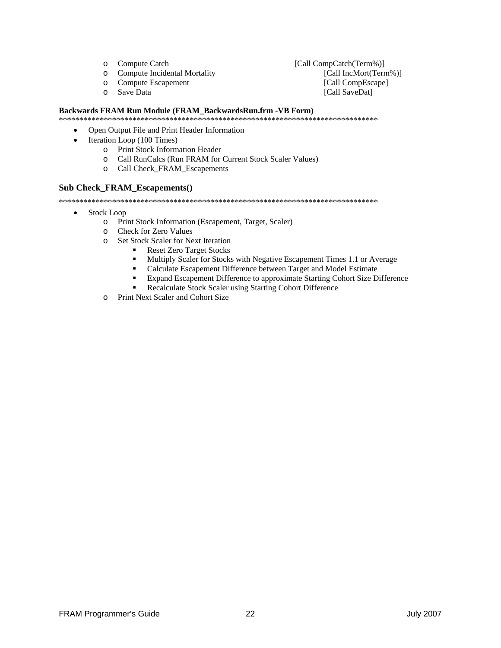- o Compute Catch
- $\circ$ **Compute Incidental Mortality**
- **Compute Escapement**  $\circ$
- Save Data  $\Omega$

[Call CompCatch(Term%)] [Call IncMort(Term%)] [Call CompEscape] [Call SaveDat]

#### Backwards FRAM Run Module (FRAM\_BackwardsRun.frm -VB Form)

- Open Output File and Print Header Information  $\bullet$
- Iteration Loop (100 Times)  $\bullet$ 
	- o Print Stock Information Header
	- o Call RunCalcs (Run FRAM for Current Stock Scaler Values)
	- o Call Check FRAM Escapements

#### **Sub Check\_FRAM\_Escapements()**

- **Stock Loop**  $\bullet$ 
	- o Print Stock Information (Escapement, Target, Scaler)
	- o Check for Zero Values
	- o Set Stock Scaler for Next Iteration
		- **Reset Zero Target Stocks**  $\mathbf{r}$ 
			- Multiply Scaler for Stocks with Negative Escapement Times 1.1 or Average
			- $\blacksquare$ Calculate Escapement Difference between Target and Model Estimate
			- $\blacksquare$ Expand Escapement Difference to approximate Starting Cohort Size Difference
			- Recalculate Stock Scaler using Starting Cohort Difference
	- o Print Next Scaler and Cohort Size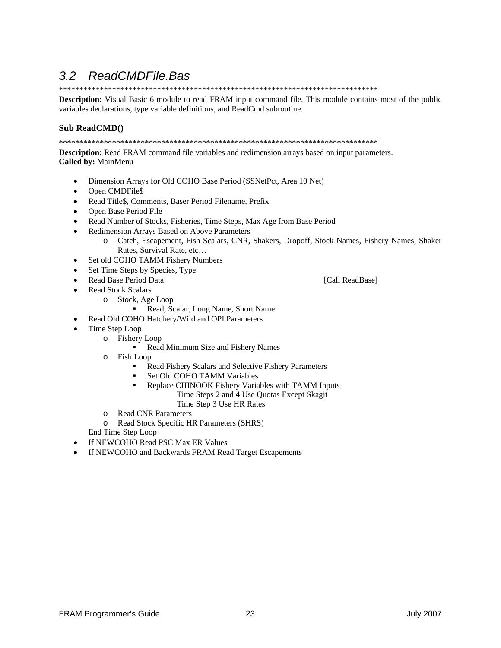#### ReadCMDFile.Bas  $3.2$

**Description:** Visual Basic 6 module to read FRAM input command file. This module contains most of the public variables declarations, type variable definitions, and ReadCmd subroutine.

#### Sub ReadCMD()

**Description:** Read FRAM command file variables and redimension arrays based on input parameters. Called by: MainMenu

- Dimension Arrays for Old COHO Base Period (SSNetPct, Area 10 Net)  $\bullet$
- Open CMDFile\$  $\bullet$
- $\bullet$ Read Title\$, Comments, Baser Period Filename, Prefix
- Open Base Period File
- Read Number of Stocks, Fisheries, Time Steps, Max Age from Base Period  $\bullet$
- Redimension Arrays Based on Above Parameters
	- Catch, Escapement, Fish Scalars, CNR, Shakers, Dropoff, Stock Names, Fishery Names, Shaker  $\circ$ Rates, Survival Rate, etc...
- Set old COHO TAMM Fishery Numbers  $\bullet$
- Set Time Steps by Species, Type
- Read Base Period Data
- **Read Stock Scalars** 
	- o Stock, Age Loop
		- Read, Scalar, Long Name, Short Name
- Read Old COHO Hatchery/Wild and OPI Parameters  $\bullet$
- Time Step Loop  $\bullet$ 
	- o Fishery Loop
		- Read Minimum Size and Fishery Names
	- $\circ$  Fish Loop
		- Read Fishery Scalars and Selective Fishery Parameters  $\blacksquare$
		- Set Old COHO TAMM Variables
		- Replace CHINOOK Fishery Variables with TAMM Inputs Time Steps 2 and 4 Use Quotas Except Skagit
			- Time Step 3 Use HR Rates
	- **Read CNR Parameters**  $\Omega$
	- $\circ$ Read Stock Specific HR Parameters (SHRS)
	- End Time Step Loop
- If NEWCOHO Read PSC Max ER Values
- If NEWCOHO and Backwards FRAM Read Target Escapements

**FRAM Programmer's Guide** 

[Call ReadBase]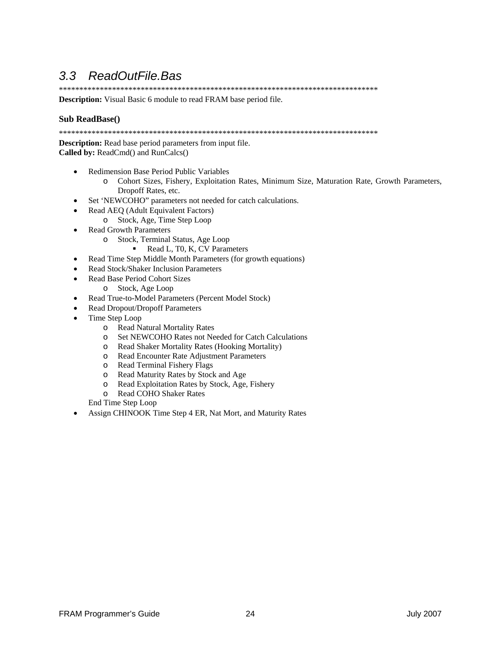### *3.3 ReadOutFile.Bas*

\*\*\*\*\*\*\*\*\*\*\*\*\*\*\*\*\*\*\*\*\*\*\*\*\*\*\*\*\*\*\*\*\*\*\*\*\*\*\*\*\*\*\*\*\*\*\*\*\*\*\*\*\*\*\*\*\*\*\*\*\*\*\*\*\*\*\*\*\*\*\*\*\*\*\*\*\*\*

**Description:** Visual Basic 6 module to read FRAM base period file.

#### **Sub ReadBase()**

\*\*\*\*\*\*\*\*\*\*\*\*\*\*\*\*\*\*\*\*\*\*\*\*\*\*\*\*\*\*\*\*\*\*\*\*\*\*\*\*\*\*\*\*\*\*\*\*\*\*\*\*\*\*\*\*\*\*\*\*\*\*\*\*\*\*\*\*\*\*\*\*\*\*\*\*\*\*

**Description:** Read base period parameters from input file. **Called by:** ReadCmd() and RunCalcs()

- Redimension Base Period Public Variables
	- o Cohort Sizes, Fishery, Exploitation Rates, Minimum Size, Maturation Rate, Growth Parameters, Dropoff Rates, etc.
- Set 'NEWCOHO" parameters not needed for catch calculations.
- Read AEQ (Adult Equivalent Factors)
	- o Stock, Age, Time Step Loop
- Read Growth Parameters
	- o Stock, Terminal Status, Age Loop
		- Read L, T0, K, CV Parameters
- Read Time Step Middle Month Parameters (for growth equations)
- Read Stock/Shaker Inclusion Parameters
- Read Base Period Cohort Sizes
	- o Stock, Age Loop
- Read True-to-Model Parameters (Percent Model Stock)
- Read Dropout/Dropoff Parameters
- Time Step Loop
	- o Read Natural Mortality Rates
	- o Set NEWCOHO Rates not Needed for Catch Calculations
	- o Read Shaker Mortality Rates (Hooking Mortality)
	- o Read Encounter Rate Adjustment Parameters
	- o Read Terminal Fishery Flags
	- Read Maturity Rates by Stock and Age
	- o Read Exploitation Rates by Stock, Age, Fishery
	- o Read COHO Shaker Rates

End Time Step Loop

• Assign CHINOOK Time Step 4 ER, Nat Mort, and Maturity Rates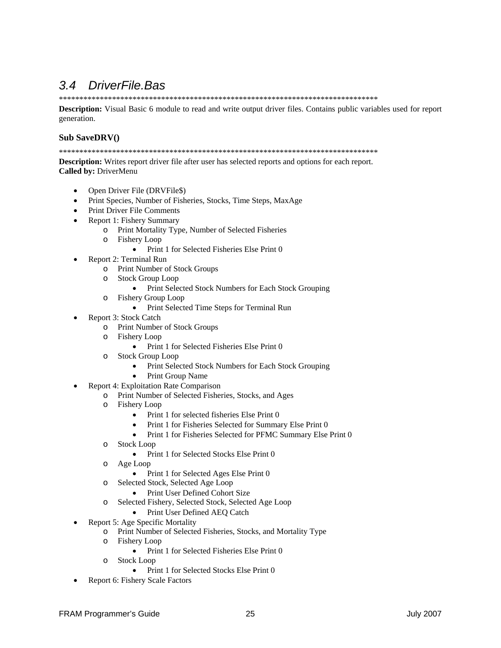### 3.4 DriverFile.Bas

Description: Visual Basic 6 module to read and write output driver files. Contains public variables used for report generation.

#### Sub SaveDRV()

**Description:** Writes report driver file after user has selected reports and options for each report. Called by: DriverMenu

- Open Driver File (DRVFile\$)
- Print Species, Number of Fisheries, Stocks, Time Steps, MaxAge
- Print Driver File Comments
- Report 1: Fishery Summary
	- o Print Mortality Type, Number of Selected Fisheries
	- o Fishery Loop
		- Print 1 for Selected Fisheries Else Print 0
- Report 2: Terminal Run  $\bullet$ 
	- o Print Number of Stock Groups
	- o Stock Group Loop
		- Print Selected Stock Numbers for Each Stock Grouping
	- o Fishery Group Loop
		- Print Selected Time Steps for Terminal Run
- Report 3: Stock Catch
	- o Print Number of Stock Groups
	- o Fishery Loop
		- Print 1 for Selected Fisheries Else Print 0
	- o Stock Group Loop
		- Print Selected Stock Numbers for Each Stock Grouping
		- **Print Group Name**  $\bullet$
	- Report 4: Exploitation Rate Comparison
		- o Print Number of Selected Fisheries, Stocks, and Ages
		- o Fishery Loop
			- $\bullet$  Print 1 for selected fisheries Else Print 0
			- Print 1 for Fisheries Selected for Summary Else Print 0
			- Print 1 for Fisheries Selected for PFMC Summary Else Print 0
		- o Stock Loop
			- Print 1 for Selected Stocks Else Print 0
		- o Age Loop
			- Print 1 for Selected Ages Else Print 0
		- o Selected Stock, Selected Age Loop
			- Print User Defined Cohort Size
		- o Selected Fishery, Selected Stock, Selected Age Loop
			- Print User Defined AEQ Catch
- Report 5: Age Specific Mortality
	- o Print Number of Selected Fisheries, Stocks, and Mortality Type
	- o Fishery Loop
		- $\bullet$  Print 1 for Selected Fisheries Else Print 0
	- o Stock Loop
		- Print 1 for Selected Stocks Else Print 0
- Report 6: Fishery Scale Factors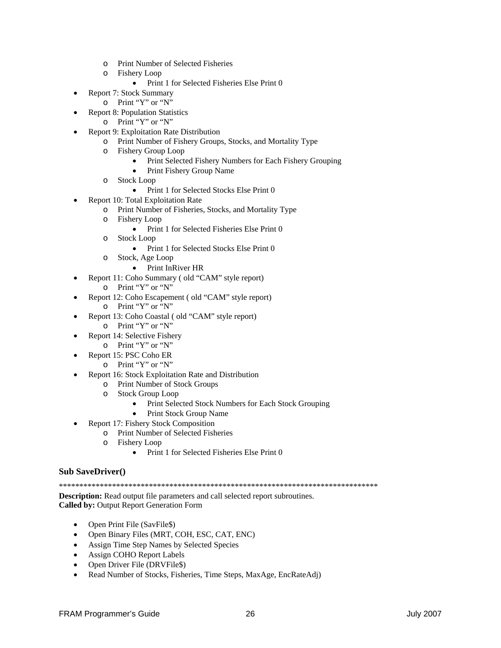- o Print Number of Selected Fisheries
- o Fishery Loop
	- Print 1 for Selected Fisheries Else Print 0
- Report 7: Stock Summary
- o Print "Y" or "N"
- Report 8: Population Statistics
	- o Print "Y" or "N"
	- Report 9: Exploitation Rate Distribution
		- o Print Number of Fishery Groups, Stocks, and Mortality Type
		- o Fishery Group Loop
			- Print Selected Fishery Numbers for Each Fishery Grouping
			- Print Fishery Group Name
		- o Stock Loop
			- Print 1 for Selected Stocks Else Print 0
- Report 10: Total Exploitation Rate
	- o Print Number of Fisheries, Stocks, and Mortality Type
	- o Fishery Loop
		- Print 1 for Selected Fisheries Else Print 0
	- o Stock Loop
		- Print 1 for Selected Stocks Else Print 0
	- o Stock, Age Loop
		- Print InRiver HR
- Report 11: Coho Summary (old "CAM" style report)
	- o Print "Y" or "N"
- Report 12: Coho Escapement ( old "CAM" style report)
	- o Print "Y" or "N"
- Report 13: Coho Coastal ( old "CAM" style report)
	- o Print "Y" or "N"
- Report 14: Selective Fishery
	- o Print "Y" or "N"
- Report 15: PSC Coho ER
	- o Print "Y" or "N"
	- Report 16: Stock Exploitation Rate and Distribution
		- o Print Number of Stock Groups
		- o Stock Group Loop
			- Print Selected Stock Numbers for Each Stock Grouping
			- Print Stock Group Name
- Report 17: Fishery Stock Composition
	- o Print Number of Selected Fisheries
	- o Fishery Loop
		- Print 1 for Selected Fisheries Else Print 0

#### **Sub SaveDriver()**

\*\*\*\*\*\*\*\*\*\*\*\*\*\*\*\*\*\*\*\*\*\*\*\*\*\*\*\*\*\*\*\*\*\*\*\*\*\*\*\*\*\*\*\*\*\*\*\*\*\*\*\*\*\*\*\*\*\*\*\*\*\*\*\*\*\*\*\*\*\*\*\*\*\*\*\*\*\*

**Description:** Read output file parameters and call selected report subroutines. **Called by:** Output Report Generation Form

- Open Print File (SavFile\$)
- Open Binary Files (MRT, COH, ESC, CAT, ENC)
- Assign Time Step Names by Selected Species
- Assign COHO Report Labels
- Open Driver File (DRVFile\$)
- Read Number of Stocks, Fisheries, Time Steps, MaxAge, EncRateAdj)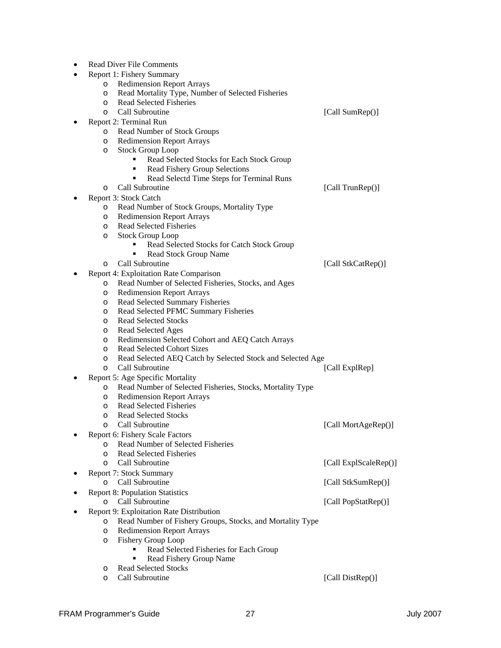| <b>Read Diver File Comments</b>                                                                 |                       |
|-------------------------------------------------------------------------------------------------|-----------------------|
| Report 1: Fishery Summary                                                                       |                       |
| <b>Redimension Report Arrays</b><br>O                                                           |                       |
| Read Mortality Type, Number of Selected Fisheries<br>O                                          |                       |
| <b>Read Selected Fisheries</b><br>O                                                             |                       |
| Call Subroutine<br>O                                                                            | [Call SumRep()]       |
| Report 2: Terminal Run                                                                          |                       |
| Read Number of Stock Groups<br>O                                                                |                       |
| <b>Redimension Report Arrays</b><br>O                                                           |                       |
| <b>Stock Group Loop</b><br>O                                                                    |                       |
| Read Selected Stocks for Each Stock Group                                                       |                       |
| <b>Read Fishery Group Selections</b><br>٠                                                       |                       |
| Read Selectd Time Steps for Terminal Runs                                                       |                       |
| Call Subroutine<br>O                                                                            | [Call TrunRep()]      |
| Report 3: Stock Catch                                                                           |                       |
| Read Number of Stock Groups, Mortality Type<br>O                                                |                       |
| <b>Redimension Report Arrays</b><br>O                                                           |                       |
| <b>Read Selected Fisheries</b><br>O                                                             |                       |
| <b>Stock Group Loop</b><br>O                                                                    |                       |
| Read Selected Stocks for Catch Stock Group                                                      |                       |
| Read Stock Group Name<br>٠                                                                      |                       |
| Call Subroutine<br>O                                                                            | [Call StkCatRep()]    |
| Report 4: Exploitation Rate Comparison                                                          |                       |
| Read Number of Selected Fisheries, Stocks, and Ages<br>$\circ$                                  |                       |
| <b>Redimension Report Arrays</b><br>O                                                           |                       |
| Read Selected Summary Fisheries<br>O                                                            |                       |
| Read Selected PFMC Summary Fisheries<br>O                                                       |                       |
| <b>Read Selected Stocks</b><br>O                                                                |                       |
| Read Selected Ages<br>O                                                                         |                       |
| Redimension Selected Cohort and AEQ Catch Arrays<br>O<br><b>Read Selected Cohort Sizes</b><br>O |                       |
| Read Selected AEQ Catch by Selected Stock and Selected Age<br>O                                 |                       |
| Call Subroutine<br>$\circ$                                                                      | [Call ExplRep]        |
| Report 5: Age Specific Mortality                                                                |                       |
| Read Number of Selected Fisheries, Stocks, Mortality Type<br>O                                  |                       |
| <b>Redimension Report Arrays</b><br>O                                                           |                       |
| <b>Read Selected Fisheries</b><br>O                                                             |                       |
| <b>Read Selected Stocks</b><br>O                                                                |                       |
| Call Subroutine<br>∩                                                                            | [Call MortAgeRep()]   |
| Report 6: Fishery Scale Factors                                                                 |                       |
| Read Number of Selected Fisheries<br>O                                                          |                       |
| <b>Read Selected Fisheries</b><br>$\circ$                                                       |                       |
| Call Subroutine<br>O                                                                            | [Call ExplScaleRep()] |
| <b>Report 7: Stock Summary</b>                                                                  |                       |
| Call Subroutine<br>$\circ$                                                                      | [Call StkSumRep()]    |
| <b>Report 8: Population Statistics</b>                                                          |                       |
| Call Subroutine<br>$\circ$                                                                      | [Call PopStatRep()]   |
| Report 9: Exploitation Rate Distribution                                                        |                       |
| Read Number of Fishery Groups, Stocks, and Mortality Type<br>O                                  |                       |
| <b>Redimension Report Arrays</b><br>O                                                           |                       |
| Fishery Group Loop<br>O                                                                         |                       |
| Read Selected Fisheries for Each Group                                                          |                       |
| Read Fishery Group Name                                                                         |                       |
| <b>Read Selected Stocks</b><br>O                                                                |                       |

o Call Subroutine [Call DistRep()]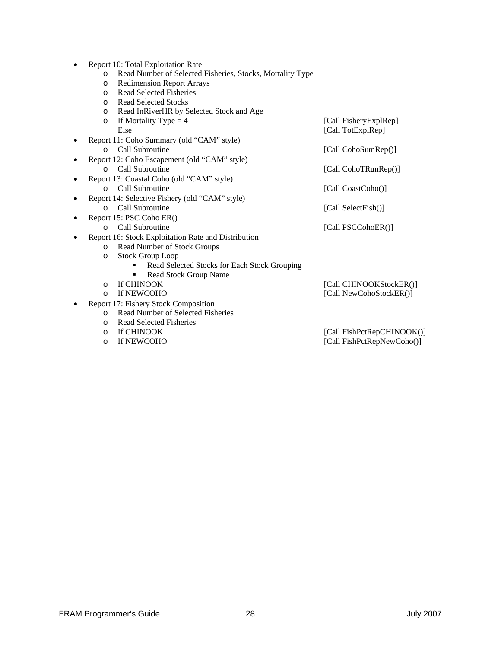- Report 10: Total Exploitation Rate
	- o Read Number of Selected Fisheries, Stocks, Mortality Type
	- o Redimension Report Arrays
	- o Read Selected Fisheries
	- o Read Selected Stocks
	- o Read InRiverHR by Selected Stock and Age
	- o If Mortality Type = 4  $[Call FisherJERp]$ Else [Call TotExplRep]
- Report 11: Coho Summary (old "CAM" style) o Call Subroutine [Call CohoSumRep()]
- Report 12: Coho Escapement (old "CAM" style) o Call Subroutine [Call CohoTRunRep()]
- Report 13: Coastal Coho (old "CAM" style)
	- o Call Subroutine [Call CoastCoho()]
- Report 14: Selective Fishery (old "CAM" style) o Call Subroutine [Call SelectFish()]
- Report 15: PSC Coho ER()
	- o Call Subroutine [Call PSCCohoER()]
	- Report 16: Stock Exploitation Rate and Distribution
		- o Read Number of Stock Groups
		- o Stock Group Loop
			- Read Selected Stocks for Each Stock Grouping
				- Read Stock Group Name
		-
		- o If CHINOOK [Call CHINOOKStockER()]<br>
		o If NEWCOHO [Call NewCohoStockER()]
- Report 17: Fishery Stock Composition
	- o Read Number of Selected Fisheries
	- o Read Selected Fisheries
	-
	-
	- [Call FishPctRepCHINOOK()] o If NEWCOHO [Call FishPctRepNewCoho()]

[Call NewCohoStockER()]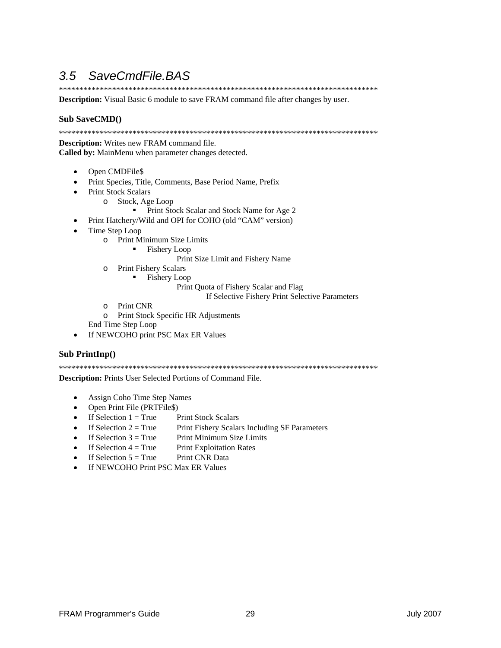### 3.5 SaveCmdFile.BAS

**Description:** Visual Basic 6 module to save FRAM command file after changes by user.

#### **Sub SaveCMD()**

**Description:** Writes new FRAM command file. Called by: MainMenu when parameter changes detected.

- Open CMDFile\$  $\bullet$
- Print Species, Title, Comments, Base Period Name, Prefix
- **Print Stock Scalars** 
	- o Stock, Age Loop
		- Print Stock Scalar and Stock Name for Age 2
- Print Hatchery/Wild and OPI for COHO (old "CAM" version)
- Time Step Loop
	- o Print Minimum Size Limits
		- $\blacksquare$  Fishery Loop
			- Print Size Limit and Fishery Name
	- o Print Fishery Scalars
		- Fishery Loop  $\blacksquare$

Print Quota of Fishery Scalar and Flag

- If Selective Fishery Print Selective Parameters
- o Print CNR
- o Print Stock Specific HR Adjustments
- End Time Step Loop
- If NEWCOHO print PSC Max ER Values  $\bullet$

#### Sub PrintInp()

Description: Prints User Selected Portions of Command File.

- Assign Coho Time Step Names  $\bullet$
- Open Print File (PRTFile\$)
- If Selection  $1 = True$ **Print Stock Scalars**
- If Selection  $2 = True$ Print Fishery Scalars Including SF Parameters
- If Selection  $3 = True$ Print Minimum Size Limits
- If Selection  $4 =$ True **Print Exploitation Rates**  $\bullet$
- If Selection  $5 = True$ Print CNR Data  $\bullet$
- If NEWCOHO Print PSC Max ER Values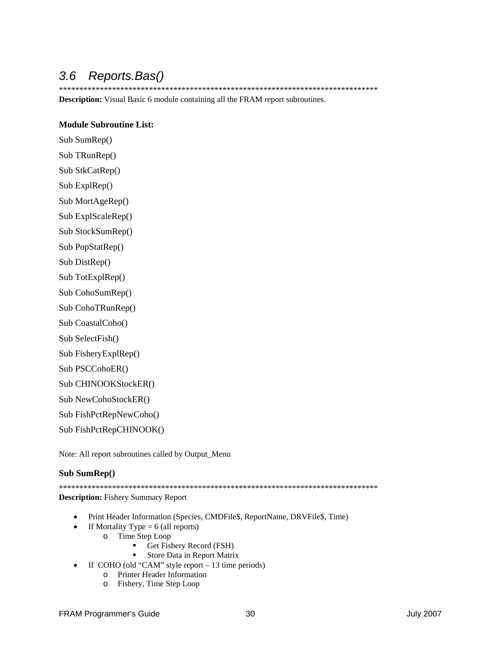### *3.6 Reports.Bas()*

\*\*\*\*\*\*\*\*\*\*\*\*\*\*\*\*\*\*\*\*\*\*\*\*\*\*\*\*\*\*\*\*\*\*\*\*\*\*\*\*\*\*\*\*\*\*\*\*\*\*\*\*\*\*\*\*\*\*\*\*\*\*\*\*\*\*\*\*\*\*\*\*\*\*\*\*\*\*

**Description:** Visual Basic 6 module containing all the FRAM report subroutines.

#### **Module Subroutine List:**

Sub SumRep() Sub TRunRep()

Sub StkCatRep()

Sub ExplRep()

Sub MortAgeRep()

Sub ExplScaleRep()

Sub StockSumRep()

Sub PopStatRep()

Sub DistRep()

Sub TotExplRep()

Sub CohoSumRep()

Sub CohoTRunRep()

Sub CoastalCoho()

Sub SelectFish()

Sub FisheryExplRep()

Sub PSCCohoER()

Sub CHINOOKStockER()

Sub NewCohoStockER()

Sub FishPctRepNewCoho()

Sub FishPctRepCHINOOK()

Note: All report subroutines called by Output\_Menu

#### **Sub SumRep()**

\*\*\*\*\*\*\*\*\*\*\*\*\*\*\*\*\*\*\*\*\*\*\*\*\*\*\*\*\*\*\*\*\*\*\*\*\*\*\*\*\*\*\*\*\*\*\*\*\*\*\*\*\*\*\*\*\*\*\*\*\*\*\*\*\*\*\*\*\*\*\*\*\*\*\*\*\*\* **Description:** Fishery Summary Report

- Print Header Information (Species, CMDFile\$, ReportName, DRVFile\$, Time)
	- If Mortality Type  $= 6$  (all reports)
		- o Time Step Loop
			- Get Fishery Record (FSH)
			- Store Data in Report Matrix
- If COHO (old "CAM" style report 13 time periods)
	- o Printer Header Information
	- o Fishery, Time Step Loop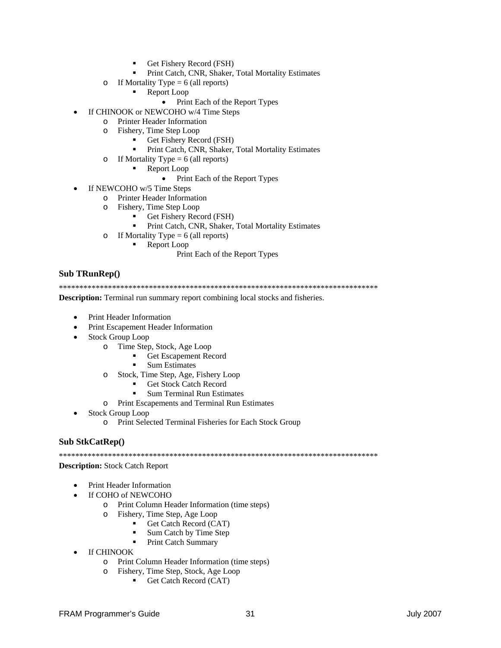- Get Fishery Record (FSH)
- Print Catch, CNR, Shaker, Total Mortality Estimates
- o If Mortality Type = 6 (all reports)
	- Report Loop
		- Print Each of the Report Types
- If CHINOOK or NEWCOHO w/4 Time Steps
	- o Printer Header Information
	- o Fishery, Time Step Loop
		- Get Fishery Record (FSH)
		- Print Catch, CNR, Shaker, Total Mortality Estimates
	- o If Mortality Type =  $6$  (all reports)
		- Report Loop
			- Print Each of the Report Types  $\bullet$
- If NEWCOHO w/5 Time Steps
	- o Printer Header Information
	- Fishery, Time Step Loop  $\circ$ 
		- Get Fishery Record (FSH)
		- $\blacksquare$ Print Catch, CNR, Shaker, Total Mortality Estimates
	- o If Mortality Type = 6 (all reports)
		- Report Loop
			- Print Each of the Report Types

#### **Sub TRunRep()**

**Description:** Terminal run summary report combining local stocks and fisheries.

- **Print Header Information**
- Print Escapement Header Information
- $\bullet$ Stock Group Loop
	- o Time Step, Stock, Age Loop
		- Get Escapement Record
		- **Sum Estimates**
	- o Stock, Time Step, Age, Fishery Loop
		- **Get Stock Catch Record**
		- **Sum Terminal Run Estimates**
	- o Print Escapements and Terminal Run Estimates
- **Stock Group Loop** 
	- o Print Selected Terminal Fisheries for Each Stock Group

#### Sub StkCatRep()

#### **Description:** Stock Catch Report

- Print Header Information
- If COHO of NEWCOHO
	- o Print Column Header Information (time steps)
	- o Fishery, Time Step, Age Loop
		- Get Catch Record (CAT)
		- Sum Catch by Time Step
		- $\blacksquare$ **Print Catch Summary**
- **If CHINOOK**  $\bullet$ 
	- o Print Column Header Information (time steps)
	- o Fishery, Time Step, Stock, Age Loop
		- Get Catch Record (CAT)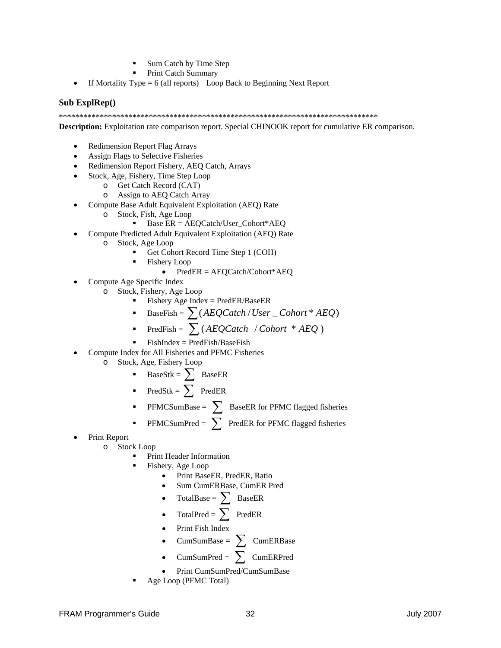- Sum Catch by Time Step
- Print Catch Summary
- If Mortality Type = 6 (all reports) Loop Back to Beginning Next Report

#### **Sub ExplRep()**

\*\*\*\*\*\*\*\*\*\*\*\*\*\*\*\*\*\*\*\*\*\*\*\*\*\*\*\*\*\*\*\*\*\*\*\*\*\*\*\*\*\*\*\*\*\*\*\*\*\*\*\*\*\*\*\*\*\*\*\*\*\*\*\*\*\*\*\*\*\*\*\*\*\*\*\*\*\*

**Description:** Exploitation rate comparison report. Special CHINOOK report for cumulative ER comparison.

- Redimension Report Flag Arrays
- Assign Flags to Selective Fisheries
- Redimension Report Fishery, AEQ Catch, Arrays
- Stock, Age, Fishery, Time Step Loop
	- o Get Catch Record (CAT)
		- o Assign to AEQ Catch Array
- Compute Base Adult Equivalent Exploitation (AEQ) Rate
	- o Stock, Fish, Age Loop
		- Base  $ER = AEQCatch/User\_Cohort*AEQ$
- Compute Predicted Adult Equivalent Exploitation (AEQ) Rate
	- o Stock, Age Loop
		- Get Cohort Record Time Step 1 (COH)
		- Fishery Loop
			- PredER = AEQCatch/Cohort\*AEQ
- Compute Age Specific Index
	- o Stock, Fishery, Age Loop
		- Fishery Age Index = PredER/BaseER
		- BaseFish =  $\sum (AEQCache / User\_Color * AEQ)$
		- PredFish = ∑ ( *AEQCatch* / *Cohort* \* *AEQ* )
		- FishIndex = PredFish/BaseFish
- Compute Index for All Fisheries and PFMC Fisheries
	- o Stock, Age, Fishery Loop
		- BaseStk =  $\sum$  BaseER
		- PredStk =  $\sum$  PredER
		- **•** PFMCSumBase =  $\sum$  BaseER for PFMC flagged fisheries
		- PFMCSumPred =  $\sum$  PredER for PFMC flagged fisheries
- Print Report
	- o Stock Loop
		- Print Header Information
		- Fishery, Age Loop
			- Print BaseER, PredER, Ratio
			- Sum CumERBase, CumER Pred
			- TotalBase =  $\sum_{-\infty}$  BaseER
			- TotalPred =  $\sum$  PredER
			- Print Fish Index
			- CumSumBase =  $\sum$  CumERBase
			- $CumSumPred = \sum$  CumERPred
			- Print CumSumPred/CumSumBase
		- Age Loop (PFMC Total)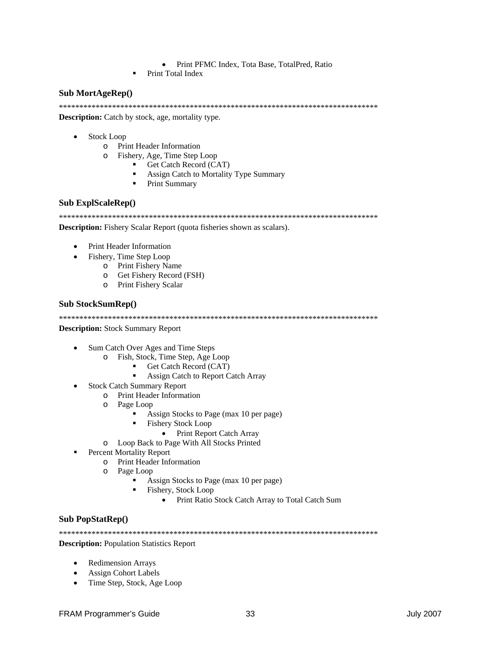- Print PFMC Index, Tota Base, TotalPred, Ratio
- Print Total Index

#### Sub MortAgeRep()

**Description:** Catch by stock, age, mortality type.

- **Stock Loop** 
	- o Print Header Information
	- $\circ$ Fishery, Age, Time Step Loop
		- Get Catch Record (CAT)
		- Assign Catch to Mortality Type Summary
		- $\blacksquare$ Print Summary

#### **Sub ExplScaleRep()**

**Description:** Fishery Scalar Report (quota fisheries shown as scalars).

- Print Header Information
- Fishery, Time Step Loop
	- o Print Fishery Name
		- o Get Fishery Record (FSH)
	- o Print Fishery Scalar

#### **Sub StockSumRep()**

**Description:** Stock Summary Report

- Sum Catch Over Ages and Time Steps
	- o Fish, Stock, Time Step, Age Loop
		- Get Catch Record (CAT)  $\blacksquare$  .
		- $\blacksquare$ Assign Catch to Report Catch Array
- **Stock Catch Summary Report**  $\bullet$ 
	- o Print Header Information
	- o Page Loop
		- Assign Stocks to Page (max 10 per page)
		- **Fishery Stock Loop** 
			- Print Report Catch Array
	- o Loop Back to Page With All Stocks Printed
- **Percent Mortality Report** 
	- o Print Header Information
	- $\circ$ Page Loop
		- Assign Stocks to Page (max 10 per page)
		- Fishery, Stock Loop
			- $\bullet$ Print Ratio Stock Catch Array to Total Catch Sum

#### **Sub PopStatRep()**

**Description:** Population Statistics Report

- **Redimension Arrays**  $\bullet$
- **Assign Cohort Labels**
- Time Step, Stock, Age Loop  $\bullet$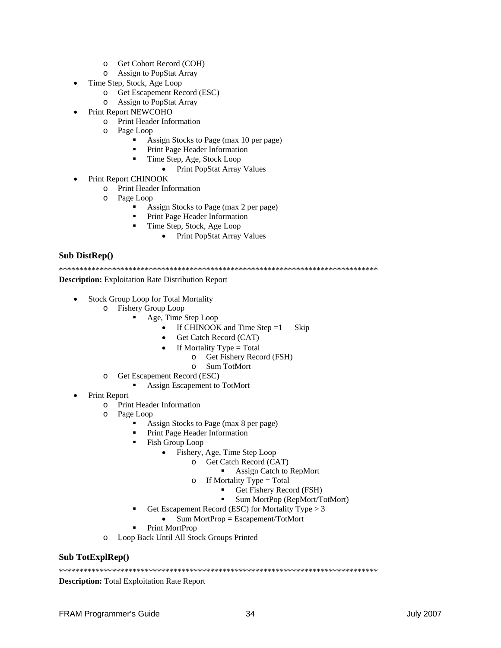- o Get Cohort Record (COH)
- **Assign to PopStat Array**  $\circ$
- Time Step, Stock, Age Loop  $\bullet$ 
	- o Get Escapement Record (ESC)
	- o Assign to PopStat Array
- **Print Report NEWCOHO** 
	- o Print Header Information
	- o Page Loop
		- Assign Stocks to Page (max 10 per page)
		- Print Page Header Information
			- Time Step, Age, Stock Loop
				- Print PopStat Array Values  $\bullet$
- Print Report CHINOOK
	- **Print Header Information**  $\circ$
	- o Page Loop

 $\blacksquare$ 

- Assign Stocks to Page (max 2 per page)  $\mathbf{r}$  .
- Print Page Header Information
	- Time Step, Stock, Age Loop
		- Print PopStat Array Values

#### Sub DistRep()

**Description:** Exploitation Rate Distribution Report

- **Stock Group Loop for Total Mortality** 
	- o Fishery Group Loop
		- $\blacksquare$ Age, Time Step Loop
			- If CHINOOK and Time Step  $=1$  $\bullet$ Skip
			- Get Catch Record (CAT)
			- If Mortality  $Type = Total$ 
				- o Get Fishery Record (FSH)
				- o Sum TotMort
	- o Get Escapement Record (ESC)
		- Assign Escapement to TotMort
- **Print Report**  $\bullet$ 
	- $\circ$ **Print Header Information**
	- Page Loop  $\circ$ 
		- Assign Stocks to Page (max 8 per page)
		- Print Page Header Information

 $\circ$ 

- Fish Group Loop  $\blacksquare$ 
	- Fishery, Age, Time Step Loop
		- Get Catch Record (CAT)  $\circ$ 
			- Assign Catch to RepMort
			- If Mortality Type  $=$  Total
				- Get Fishery Record (FSH)
				- Sum MortPop (RepMort/TotMort)
- Get Escapement Record (ESC) for Mortality Type > 3
	- $Sum MortProp = Escapement/TotMort$  $\bullet$
- Print MortProp
- Loop Back Until All Stock Groups Printed  $\circ$

#### Sub TotExplRep()

**Description:** Total Exploitation Rate Report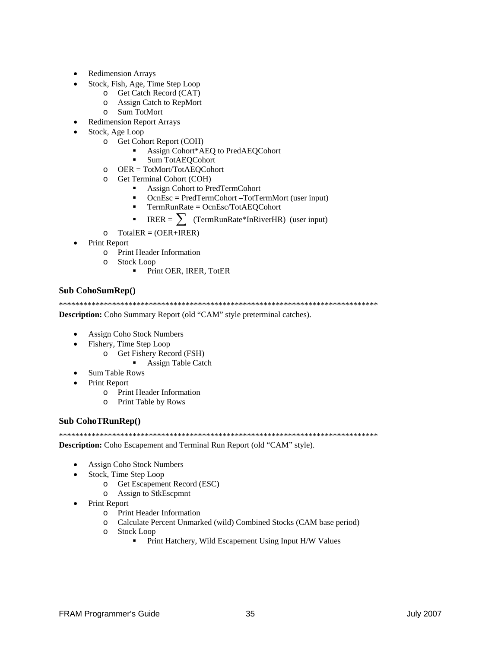- **Redimension Arrays**
- Stock, Fish, Age, Time Step Loop
	- o Get Catch Record (CAT)
	- o Assign Catch to RepMort
	- Sum TotMort  $\circ$
- **Redimension Report Arrays**
- Stock, Age Loop
	- o Get Cohort Report (COH)
		- Assign Cohort\*AEQ to PredAEQCohort
		- $\blacksquare$ **Sum TotAEOCohort**
	- $OER = TotMort/TotAEQCohort$
	- Get Terminal Cohort (COH)  $\Omega$ 
		- Assign Cohort to PredTermCohort
		- $\blacksquare$ OcnEsc = PredTermCohort -TotTermMort (user input)
		- TermRunRate = OcnEsc/TotAEQCohort  $\blacksquare$
		- IRER =  $\sum$  (TermRunRate\*InRiverHR) (user input)
	- $\circ$  $TotalER = (OER+IRER)$
- Print Report
	- o Print Header Information
	- o Stock Loop
		- Print OER, IRER, TotER  $\blacksquare$

#### Sub CohoSumRep()

Description: Coho Summary Report (old "CAM" style preterminal catches).

- **Assign Coho Stock Numbers**
- Fishery, Time Step Loop
	- o Get Fishery Record (FSH)
		- **Assign Table Catch**
- **Sum Table Rows**  $\bullet$
- **Print Report** 
	- Print Header Information  $\circ$
	- Print Table by Rows  $\circ$

#### **Sub CohoTRunRep()**

Description: Coho Escapement and Terminal Run Report (old "CAM" style).

- Assign Coho Stock Numbers  $\bullet$
- Stock, Time Step Loop
	- o Get Escapement Record (ESC)
	- o Assign to StkEscpmnt
- Print Report  $\bullet$ 
	- o Print Header Information
	- o Calculate Percent Unmarked (wild) Combined Stocks (CAM base period)
	- o Stock Loop
		- Print Hatchery, Wild Escapement Using Input H/W Values  $\blacksquare$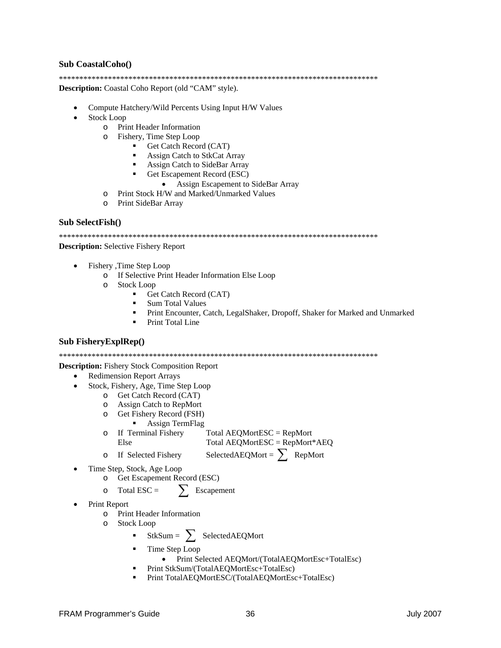#### **Sub CoastalCoho**()

**Description:** Coastal Coho Report (old "CAM" style).

- Compute Hatchery/Wild Percents Using Input H/W Values
- **Stock Loop** 
	- **Print Header Information**  $\circ$
	- Fishery, Time Step Loop  $\circ$ 
		- $\mathbf{r}$ Get Catch Record (CAT)
			- $\blacksquare$ Assign Catch to StkCat Array
			- Assign Catch to SideBar Array
				- Get Escapement Record (ESC)
					- Assign Escapement to SideBar Array
	- Print Stock H/W and Marked/Unmarked Values  $\circ$
	- Print SideBar Array  $\Omega$

#### $Sub SelectFish()$

**Description:** Selective Fishery Report

- Fishery ,Time Step Loop
	- o If Selective Print Header Information Else Loop
	- o Stock Loop
		- $\blacksquare$ Get Catch Record (CAT)
		- **Sum Total Values**
		- Print Encounter, Catch, LegalShaker, Dropoff, Shaker for Marked and Unmarked
		- Print Total Line

#### Sub FisheryExplRep()

**Description:** Fishery Stock Composition Report

- **Redimension Report Arrays**
- Stock, Fishery, Age, Time Step Loop
	- o Get Catch Record (CAT)
	- o Assign Catch to RepMort
	- Get Fishery Record (FSH)  $\circ$ 
		- $\blacksquare$ Assign TermFlag
	- If Terminal Fishery Total AEQMortESC = RepMort  $\circ$ Total  $AEOMortESC = RepMort*AEO$ Else
		- SelectedAEQMort =  $\sum$  RepMort If Selected Fishery
- Time Step, Stock, Age Loop
	- Get Escapement Record (ESC)  $\circ$
	- $\sum$  Escapement Total  $\text{ESC} =$  $\Omega$
- Print Report

 $\circ$ 

- Print Header Information  $\circ$
- **Stock Loop**  $\Omega$ 
	- StkSum =  $\sum$  Selected AEQMort
	- Time Step Loop
		- Print Selected AEOMort/(TotalAEOMortEsc+TotalEsc)
	- Print StkSum/(TotalAEQMortEsc+TotalEsc)
	- Print TotalAEQMortESC/(TotalAEQMortEsc+TotalEsc)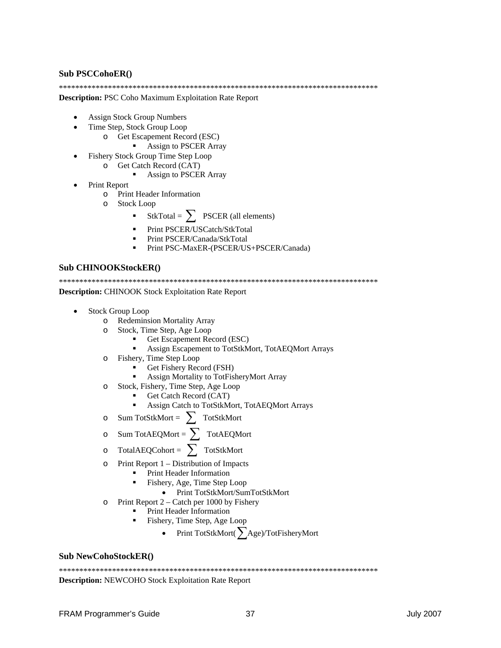#### **Sub PSCCohoER()**

**Description: PSC Coho Maximum Exploitation Rate Report** 

- **Assign Stock Group Numbers**
- Time Step, Stock Group Loop
	- o Get Escapement Record (ESC)
		- Assign to PSCER Array
- Fishery Stock Group Time Step Loop
	- o Get Catch Record (CAT)
		- $\blacksquare$ **Assign to PSCER Array**
- **Print Report**  $\bullet$ 
	- Print Header Information  $\circ$
	- **Stock Loop**  $\Omega$ 
		- StkTotal =  $\sum$  PSCER (all elements)
		- Print PSCER/USCatch/StkTotal
		- Print PSCER/Canada/StkTotal
		- $\blacksquare$ Print PSC-MaxER-(PSCER/US+PSCER/Canada)

#### **Sub CHINOOKStockERO**

**Description:** CHINOOK Stock Exploitation Rate Report

**Stock Group Loop** 

 $\Omega$ 

- o Redeminsion Mortality Array
- Stock, Time Step, Age Loop  $\circ$ 
	- Get Escapement Record (ESC)
	- Assign Escapement to TotStkMort, TotAEQMort Arrays
	- Fishery, Time Step Loop
		- Get Fishery Record (FSH)
		- $\blacksquare$ Assign Mortality to TotFisheryMort Array
- Stock, Fishery, Time Step, Age Loop  $\circ$ 
	- Get Catch Record (CAT)
	- Assign Catch to TotStkMort, TotAEQMort Arrays
- Sum TotStkMort =  $\sum$  TotStkMort  $\circ$
- $Sum\,\text{TotAEQMort} = \sum \,\ \text{TotAEQMort}$  $\circ$
- $TotalAEQCohort = \sum \; TotalStkMort$  $\circ$
- Print Report 1 Distribution of Impacts  $\circ$ 
	- Print Header Information
	- Fishery, Age, Time Step Loop
		- Print TotStkMort/SumTotStkMort
- Print Report  $2 -$ Catch per 1000 by Fishery  $\Omega$ 
	- Print Header Information
	- Fishery, Time Step, Age Loop
		- Print TotStkMort( $\sum$ Age)/TotFisheryMort  $\bullet$

#### **Sub NewCohoStockER()**

**Description:** NEWCOHO Stock Exploitation Rate Report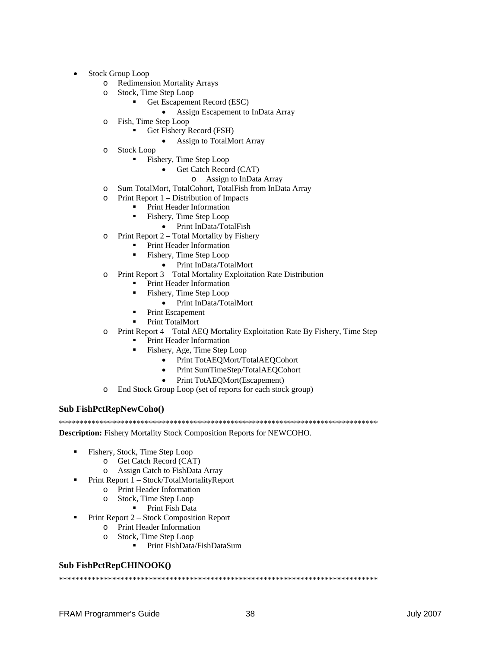- Stock Group Loop
	- o Redimension Mortality Arrays
	- o Stock, Time Step Loop
		- Get Escapement Record (ESC)
			- Assign Escapement to InData Array
	- o Fish, Time Step Loop
		- Get Fishery Record (FSH)
			- Assign to TotalMort Array
	- o Stock Loop
		- **Fishery, Time Step Loop** 
			- Get Catch Record (CAT)
				- o Assign to InData Array
	- o Sum TotalMort, TotalCohort, TotalFish from InData Array
	- o Print Report 1 Distribution of Impacts
		- **Print Header Information** 
			- Fishery, Time Step Loop
				- Print InData/TotalFish
	- o Print Report 2 Total Mortality by Fishery
		- Print Header Information
			- Fishery, Time Step Loop
				- Print InData/TotalMort
	- o Print Report 3 Total Mortality Exploitation Rate Distribution
		- Print Header Information
		- Fishery, Time Step Loop
			- Print InData/TotalMort
		- Print Escapement
		- Print TotalMort
	- o Print Report 4 Total AEQ Mortality Exploitation Rate By Fishery, Time Step
		- Print Header Information
		- Fishery, Age, Time Step Loop
			- Print TotAEQMort/TotalAEQCohort
			- Print SumTimeStep/TotalAEQCohort
			- Print TotAEOMort(Escapement)
	- o End Stock Group Loop (set of reports for each stock group)

#### **Sub FishPctRepNewCoho()**

\*\*\*\*\*\*\*\*\*\*\*\*\*\*\*\*\*\*\*\*\*\*\*\*\*\*\*\*\*\*\*\*\*\*\*\*\*\*\*\*\*\*\*\*\*\*\*\*\*\*\*\*\*\*\*\*\*\*\*\*\*\*\*\*\*\*\*\*\*\*\*\*\*\*\*\*\*\*

**Description:** Fishery Mortality Stock Composition Reports for NEWCOHO.

- Fishery, Stock, Time Step Loop
	- o Get Catch Record (CAT)
	- o Assign Catch to FishData Array
- Print Report 1 Stock/TotalMortalityReport
	- o Print Header Information
	- o Stock, Time Step Loop
		- **Print Fish Data**
- Print Report 2 Stock Composition Report
	- o Print Header Information
	- o Stock, Time Step Loop
		- Print FishData/FishDataSum

#### **Sub FishPctRepCHINOOK()**

\*\*\*\*\*\*\*\*\*\*\*\*\*\*\*\*\*\*\*\*\*\*\*\*\*\*\*\*\*\*\*\*\*\*\*\*\*\*\*\*\*\*\*\*\*\*\*\*\*\*\*\*\*\*\*\*\*\*\*\*\*\*\*\*\*\*\*\*\*\*\*\*\*\*\*\*\*\*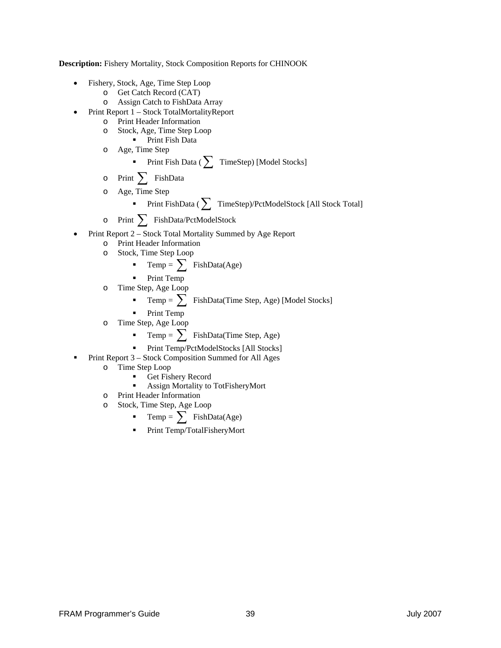**Description:** Fishery Mortality, Stock Composition Reports for CHINOOK

- Fishery, Stock, Age, Time Step Loop
	- o Get Catch Record (CAT)
	- o Assign Catch to FishData Array
- Print Report 1 Stock TotalMortalityReport
	- o Print Header Information
	- o Stock, Age, Time Step Loop
		- **Print Fish Data**
	- o Age, Time Step

■ Print Fish Data (  $\sum$  TimeStep) [Model Stocks]

- <sup>o</sup> Print ∑ FishData
- o Age, Time Step

\n- Print FishData (
$$
\sum
$$
 TimeStep)/PctModelStock [All Stock Total]
\n

<sup>o</sup> Print ∑ FishData/PctModelStock

- Print Report 2 Stock Total Mortality Summed by Age Report
	- o Print Header Information
	- o Stock, Time Step Loop

$$
\bullet \quad \text{Temp} = \sum \text{ FishData(Age)}
$$

Print Temp

- o Time Step, Age Loop
	- Temp =  $\sum$  FishData(Time Step, Age) [Model Stocks]
	- Print Temp
- o Time Step, Age Loop
	- Temp =  $\sum$  FishData(Time Step, Age)

Print Temp/PctModelStocks [All Stocks]

- **Print Report 3 Stock Composition Summed for All Ages** 
	- o Time Step Loop
		- Get Fishery Record
		- Assign Mortality to TotFisheryMort
	- o Print Header Information
	- o Stock, Time Step, Age Loop
		- Temp =  $\sum$  FishData(Age)
		- Print Temp/TotalFisheryMort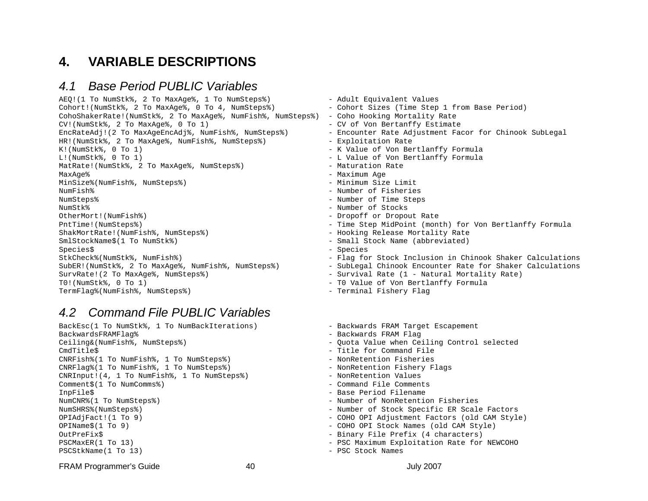### **4. VARIABLE DESCRIPTIONS**

### *4.1 Base Period PUBLIC Variables*

```
AEQ!(1 To NumStk%, 2 To MaxAge%, 1 To NumSteps%) - - Adult Equivalent Values
Cohort!(NumStk%, 2 To MaxAge%, 0 To 4, NumSteps%) - Cohort Sizes (Time Step 1 from Base Period)
CohoShakerRate!(NumStk%, 2 To MaxAge%, NumFish%, NumSteps%) - Coho Hooking Mortality Rate 
CV!(NumStk%, 2 To MaxAge%, 0 To 1) - CV of Von Bertanffy Estimate
HR!(NumStk%, 2 To MaxAge%, NumFish%, NumSteps%) - Exploitation Rate 
K!(NumStk%, 0 To 1) - K Value of Von Bertlanffy Formula
L!(NumStk%, 0 To 1) - L Value of Von Bertlanffy Formula
MatRate!(NumStk%, 2 To MaxAge%, NumSteps%) - Maturation Rate
MaxAge% - Maximum Age 
MinSize%(NumFish%, NumSteps%) - Minimum Size Limit 
NumFish% - Number of Fisheries NumSteps% - Number of Time Steps 
NumStk% - Number of Stocks OtherMort!(NumFish%) - Dropoff or Dropout Rate 
ShakMortRate!(NumFish%, NumSteps%) - Hooking Release Mortality Rate
SmlStockName$(1 To NumStk%) - Small Stock Name (abbreviated)
Species$ - Species - Species - Species - Species - Species - Species - Species - Species - Species - Species -
SurvRate!(2 To MaxAge%, NumSteps%) - Survival Rate (1 - Natural Mortality Rate)
T0!(NumStk%, 0 To 1) - T0 Value of Von Bertlanffy Formula
TermFlag%(NumFish%, NumSteps%) - Terminal Fishery Flag
```
### *4.2 Command File PUBLIC Variables*

BackEsc(1 To NumStk%, 1 To NumBackIterations) - Backwards FRAM Target Escapement BackwardsFRAMFlag% - Backwards FRAM Flag Ceiling&(NumFish%, NumSteps%) - Quota Value when Ceiling Control selected CmdTitle\$ - Title for Command File CNRFish%(1 To NumFish%, 1 To NumSteps%) - NonRetention Fisheries CNRFlag%(1 To NumFish%, 1 To NumSteps%) - - NonRetention Fishery Flags CNRInput!(4, 1 To NumFish%, 1 To NumSteps%) - NonRetention Values Comment\$(1 To NumComms%) - Command File Comments InpFile\$ - Base Period Filename NumCNR%(1 To NumSteps%) - Number of NonRetention Fisheries NumSHRS%(NumSteps%) - Number of Stock Specific ER Scale Factors OPIAdjFact!(1 To 9) - COHO OPI Adjustment Factors (old CAM Style) OPIName\$(1 To 9) - COHO OPI Stock Names (old CAM Style) OutPreFix\$ - Binary File Prefix (4 characters) PSCMaxER(1 To 13) FORMALL POST CONSIDER THE PSC MAXIMUM Exploitation Rate for NEWCOHO PSCStkName(1 To 13)  $-$  PSC Stock Names

- EncRateAdj!(2 To MaxAgeEncAdj%, NumFish%, NumSteps%) Encounter Rate Adjustment Facor for Chinook SubLegal PntTime!(NumSteps%) - Time Step MidPoint (month) for Von Bertlanffy Formula StkCheck%(NumStk%, NumFish%) - Flag for Stock Inclusion in Chinook Shaker Calculations SubER!(NumStk%, 2 To MaxAge%, NumFish%, NumSteps%) - SubLegal Chinook Encounter Rate for Shaker Calculations
	-
	-
	-
	-
	-
	-
	-
	-
	-
	-
	-
	-
	-
	-
	-
	-

FRAM Programmer's Guide  $\overline{a}$  40  $\overline{a}$  and  $\overline{a}$  July 2007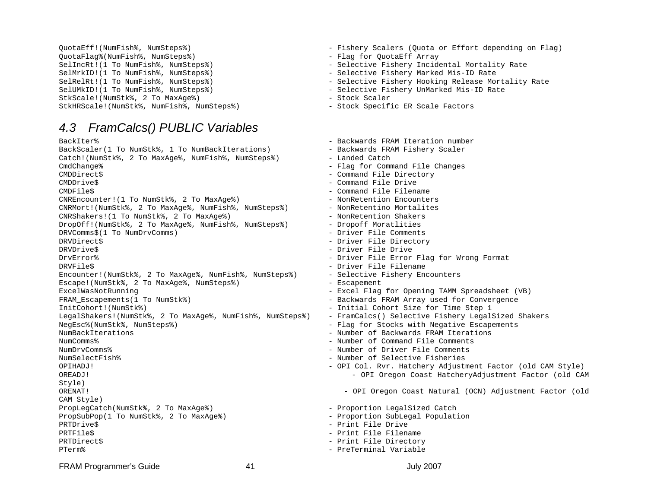```
QuotaFlag%(NumFish%, NumSteps%) - Flag for QuotaEff Array 
SelMrkID!(1 To NumFish%, NumSteps%) - Selective Fishery Marked Mis-ID Rate
StkScale!(NumStk%, 2 To MaxAge%) - Stock Scaler - Stock Scaler
StkHRScale!(NumStk%, NumFish%, NumSteps%) - Stock Specific ER Scale Factors
```
### *4.3 FramCalcs() PUBLIC Variables*

```
BackIter% - Backwards FRAM Iteration number
BackScaler(1 To NumStk%, 1 To NumBackIterations) - - Backwards FRAM Fishery Scaler
Catch!(NumStk%, 2 To MaxAge%, NumFish%, NumSteps%) - Landed Catch
CmdChange% - Flag for Command File Changes
CMDDirect$ - Command File Directory 
CMDDrive$ - Command File Drive 
CMDFile$ - Command File Filename 
CNREncounter! (1 To NumStk%, 2 To MaxAqe%) - - NonRetention Encounters
CNRMort!(NumStk%, 2 To MaxAge%, NumFish%, NumSteps%) - NonRetentino Mortalites
CNRShakers!(1 To NumStk%, 2 To MaxAge%) - The Monder Shakers - NonRetention Shakers
DropOff!(NumStk%, 2 To MaxAge%, NumFish%, NumSteps%) - Dropoff Moratlities 
DRVComms$(1 To NumDrvComms) - Driver File Comments 
DRVDirect$ - Driver File Directory 
DRVDrive$ - Driver File Drive 
DrvError% - Driver File Error Flag for Wrong Format 
DRVFile$ - Driver File Filename 
Encounter!(NumStk%, 2 To MaxAge%, NumFish%, NumSteps%) - Selective Fishery Encounters 
Escape!(NumStk%, 2 To MaxAge%, NumSteps%) - Escapement
ExcelWasNotRunning - Excel Flag for Opening TAMM Spreadsheet (VB)
FRAM_Escapements(1 To NumStk%) - Backwards FRAM Array used for Convergence
InitCohort!(NumStk%) - Initial Cohort Size for Time Step 1
LegalShakers!(NumStk%, 2 To MaxAge%, NumFish%, NumSteps%) - FramCalcs() Selective Fishery LegalSized Shakers 
NegEsc%(NumStk%, NumSteps%) - Flag for Stocks with Negative Escapements
NumBackIterations - Number of Backwards FRAM Iterations
NumComms% - Number of Command File Comments NumDrvComms% - Number of Driver File Comments NumSelectFish% - Number of Selective Fisheries OPIHADJ! - OPI Col. Rvr. Hatchery Adjustment Factor (old CAM Style)
OREADJ! - OPI Oregon Coast HatcheryAdjustment Factor (old CAM 
Style) 
ORENAT! - OPI Oregon Coast Natural (OCN) Adjustment Factor (old
CAM Style) 
PropLegCatch(NumStk%, 2 To MaxAge%) - Proportion LegalSized Catch
PropSubPop(1 To NumStk%, 2 To MaxAge%) - Proportion SubLegal Population 
PRTDrive$ - Print File Drive 
PRTFile$ - Print File Filename 
PRTDirect$ - Print File Directory 
PTerm% - PreTerminal Variable
```

```
QuotaEff!(NumFish%, NumSteps%) - Fishery Scalers (Quota or Effort depending on Flag)
```
- 
- SelIncRt!(1 To NumFish%, NumSteps%) Selective Fishery Incidental Mortality Rate
	-
- SelRelRt!(1 To NumFish%, NumSteps%) Selective Fishery Hooking Release Mortality Rate
- SelUMkID!(1 To NumFish%, NumSteps%) Selective Fishery UnMarked Mis-ID Rate
	-
	-
	-
	-
	-
	-
	-
	-
	-
	-
	-
	-
	-
	-
	-
	-
	-
	-
	-
	-
	-
	-
	-
	-
	-
	-
	-
	-
	-
	-

- 
- 
- 
- 
- 
- 

FRAM Programmer's Guide 1990 and 1991 and 1991 and 1991 and 1991 and 1991 and 1991 and 1992 and 1992 and 1993 and 1993 and 1993 and 1993 and 1993 and 1993 and 1993 and 1993 and 1993 and 1993 and 1993 and 1993 and 1993 and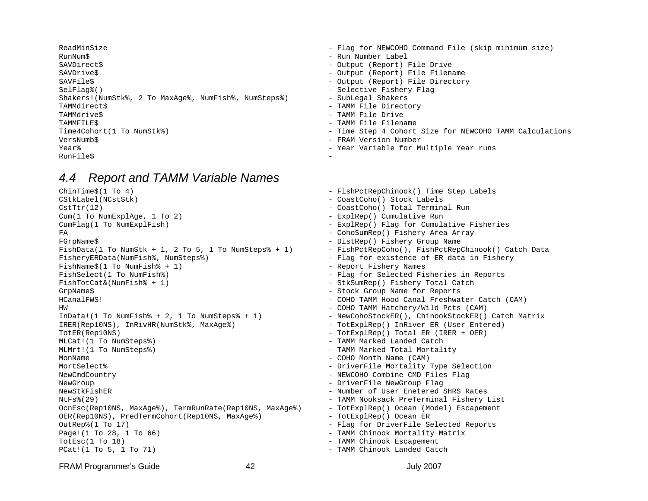RunNum\$ - Run Number Label SAVDirect\$ - Output (Report) File Drive SAVDrive\$ - Output (Report) File Filename SAVFile\$ - Output (Report) File Directory SelFlag%() - Selective Fishery Flag Selective Fishery Flag Selective Fishery Flag Shakers!(NumStk%, 2 To MaxAge%, NumFish%, NumSteps%) - SubLegal Shakers TAMMdirect\$ - TAMM File Directory TAMMdrive\$ - TAMM File Drive TAMMFILE\$ - TAMM File Filename VersNumb\$ - FRAM Version Number Year% - Year Variable for Multiple Year runs RunFile\$

### *4.4 Report and TAMM Variable Names*

ChinTime\$(1 To 4)  $-$  FishPctRepChinook() Time Step Labels CStkLabel(NCstStk) - CoastCoho() Stock Labels CstTtr(12) - CoastCoho() Total Terminal Run Cum(1 To NumExplAge, 1 To 2)  $-$  ExplRep() Cumulative Run CumFlag(1 To NumExplFish) - ExplRep() Flag for Cumulative Fisheries FA - CohoSumRep() Fishery Area Array FGrpName\$ - DistRep() Fishery Group Name FishData(1 To NumStk + 1, 2 To 5, 1 To NumSteps% + 1) - FishPctRepCoho(), FishPctRepChinook() Catch Data FisheryERData(NumFish%, NumSteps%) - Flag for existence of ER data in Fishery FishName\$(1 To NumFish% + 1)  $-$  Report Fishery Names FishSelect(1 To NumFish%)  $-$  Flag for Selected Fisheries in Reports FishTotCat&(NumFish% + 1) - - StkSumRep() Fishery Total Catch GrpName\$ - Stock Group Name for Reports HCanalFWS! - COHO TAMM Hood Canal Freshwater Catch (CAM) HW - COHO TAMM Hatchery/Wild Pcts (CAM) InData!(1 To NumFish% + 2, 1 To NumSteps% + 1) - NewCohoStockER(), ChinookStockER() Catch Matrix IRER(Rep10NS), InRivHR(NumStk%, MaxAge%) - TotExplRep() InRiver ER (User Entered) TotER(Rep10NS) - TotExplRep() Total ER (IRER + OER) MLCat!(1 To NumSteps%)  $-$  TAMM Marked Landed Catch MLMrt!(1 To NumSteps%) - TAMM Marked Total Mortality MonName  $\sim$  COHO Month Name (CAM) MortSelect% - DriverFile Mortality Type Selection NewCmdCountry - NEWCOHO Combine CMD Files Flag NewGroup - DriverFile NewGroup Flag NewStkFishER - Number of User Enetered SHRS Rates NtFs%(29) - TAMM Nooksack PreTerminal Fishery List OcnEsc(Rep10NS, MaxAge%), TermRunRate(Rep10NS, MaxAge%) - TotExplRep() Ocean (Model) Escapement OER(Rep10NS), PredTermCohort(Rep10NS, MaxAge%) - TotExplRep() Ocean ER OutRep%(1 To 17) 001 Contracts the Selected Reports of the Flag for DriverFile Selected Reports Page!(1 To 28, 1 To 66)  $-$  TAMM Chinook Mortality Matrix TotEsc(1 To 18)  $-$  Tamm Chinook Escapement PCat!(1 To 5, 1 To 71) - TAMM Chinook Landed Catch

- ReadMinSize Flag for NEWCOHO Command File (skip minimum size)
	-
	-
	-
	-
	-
	-
	-
	-
	-
- Time4Cohort(1 To NumStk%) Time Step 4 Cohort Size for NEWCOHO TAMM Calculations
	-
	-
	-

FRAM Programmer's Guide 1990 and 12 42 July 2007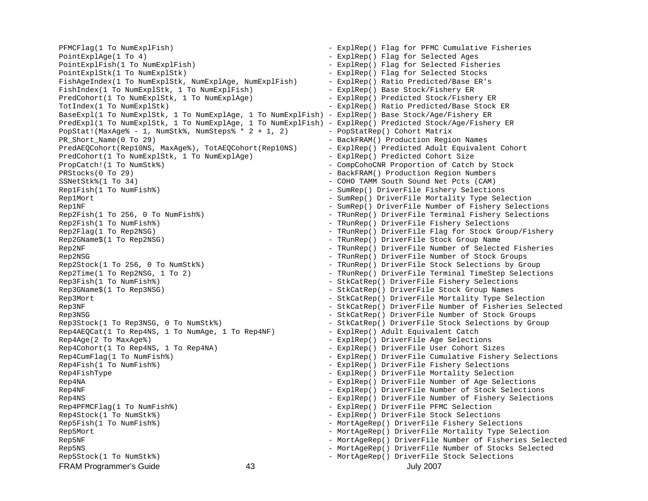FRAM Programmer's Guide 1990 and 13 Ault 2007 and 13 Ault 2007 PointExplAge(1 To 4)  $-$  ExplRep() Flag for Selected Ages PointExplFish(1 To NumExplFish) - ExplRep() Flag for Selected Fisheries PointExplStk(1 To NumExplStk) - ExplRep() Flag for Selected Stocks FishAgeIndex(1 To NumExplStk, NumExplAge, NumExplFish) - ExplRep() Ratio Predicted/Base ER's FishIndex(1 To NumExplStk, 1 To NumExplFish) - ExplRep() Base Stock/Fishery ER PredCohort(1 To NumExplStk, 1 To NumExplAge) - The Stock Predicted Stock/Fishery ER TotIndex(1 To NumExplStk) - ExplRep() Ratio Predicted/Base Stock ER BaseExpl(1 To NumExplStk, 1 To NumExplAge, 1 To NumExplFish) - ExplRep() Base Stock/Age/Fishery ER PredExpl(1 To NumExplStk, 1 To NumExplAge, 1 To NumExplFish) - ExplRep() Predicted Stock/Age/Fishery ER PopStat!(MaxAge% - 1, NumStk%, NumSteps% \*  $2 + 1$ , 2) - PopStatRep() Cohort Matrix PR\_Short\_Name(0 To 29) - BackFRAM() Production Region Names PredAEQCohort(Rep10NS, MaxAge%), TotAEQCohort(Rep10NS) - ExplRep() Predicted Adult Equivalent Cohort PredCohort(1 To NumExplStk, 1 To NumExplAge) - The ExplRep() Predicted Cohort Size PropCatch!(1 To NumStk%) - CompCohoCNR Proportion of Catch by Stock PRStocks(0 To 29)  $-$  BackFRAM() Production Region Numbers SSNetStk%(1 To 34) - COHO TAMM South Sound Net Pcts (CAM) Rep1Fish(1 To NumFish%)  $-$  SumRep() DriverFile Fishery Selections Rep1Mort - SumRep() DriverFile Mortality Type Selection Rep1NF  $-$  SumRep() DriverFile Number of Fishery Selections Rep2Fish(1 To 256, 0 To NumFish%) - TRunRep() DriverFile Terminal Fishery Selections Rep2Fish(1 To NumFish%) - TRunRep() DriverFile Fishery Selections Rep2Flag(1 To Rep2NSG) - TRunRep() DriverFile Flag for Stock Group/Fishery Rep2GName\$(1 To Rep2NSG) - TRunRep() DriverFile Stock Group Name Rep2NF - TRunRep() DriverFile Number of Selected Fisheries Rep2NSG - TRunRep() DriverFile Number of Stock Groups Rep2Stock(1 To 256, 0 To NumStk%) - TRunRep() DriverFile Stock Selections by Group Rep2Time(1 To Rep2NSG, 1 To 2) - TRunRep() DriverFile Terminal TimeStep Selections Rep3Fish(1 To NumFish%) - StkCatRep() DriverFile Fishery Selections Rep3GName\$(1 To Rep3NSG) - StkCatRep() DriverFile Stock Group Names Rep3Mort - StkCatRep() DriverFile Mortality Type Selection Rep3NF - StkCatRep() DriverFile Number of Fisheries Selected Rep3NSG - StkCatRep() DriverFile Number of Stock Groups Rep3Stock(1 To Rep3NSG, 0 To NumStk%) - StkCatRep() DriverFile Stock Selections by Group Rep4AEQCat(1 To Rep4NS, 1 To NumAge, 1 To Rep4NF) - ExplRep() Adult Equivalent Catch Rep4Age(2 To MaxAge%)  $-$  ExplRep() DriverFile Age Selections Rep4Cohort(1 To Rep4NS, 1 To Rep4NA) - FxplRep() DriverFile User Cohort Sizes Rep4CumFlag(1 To NumFish%) - ExplRep() DriverFile Cumulative Fishery Selections Rep4Fish(1 To NumFish%) - The Second Second Second Second Seconds Control of ExplRep() DriverFile Fishery Selections Rep4FishType - ExplRep() DriverFile Mortality Selection Rep4NA - ExplRep() DriverFile Number of Age Selections Rep4NF  $-$  ExplRep() DriverFile Number of Stock Selections Rep4NS - ExplRep() DriverFile Number of Fishery Selections Rep4PFMCFlag(1 To NumFish%) - ExplRep() DriverFile PFMC Selection Rep4Stock(1 To NumStk%)  $-$  ExplRep() DriverFile Stock Selections Rep5Fish(1 To NumFish%) - MortAgeRep() DriverFile Fishery Selections Rep5Mort - MortAgeRep() DriverFile Mortality Type Selection Rep5NF - MortAgeRep() DriverFile Number of Fisheries Selected Rep5NS - MortAgeRep() DriverFile Number of Stocks Selected Rep5Stock(1 To NumStk%) - MortAgeRep() DriverFile Stock Selections

PFMCFlag(1 To NumExplFish) - ExplRep() Flag for PFMC Cumulative Fisheries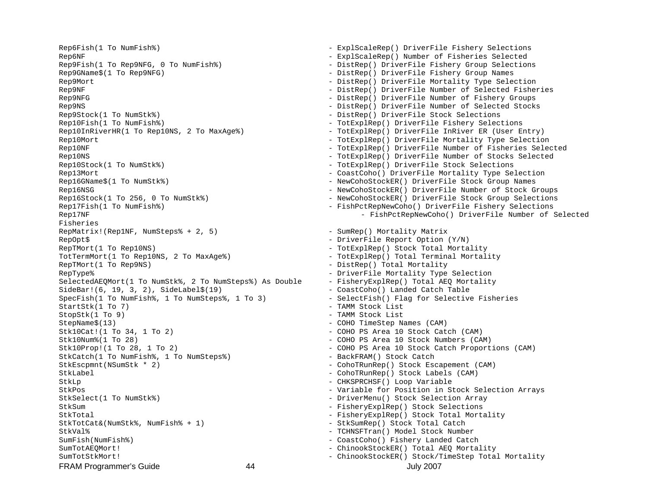FRAM Programmer's Guide 1990 and 14 July 2007 1990 and 14 July 2007 Rep6NF - ExplScaleRep() Number of Fisheries Selected Rep9Fish(1 To Rep9NFG, 0 To NumFish%) - The Section of DistRep() DriverFile Fishery Group Selections Rep9GName\$(1 To Rep9NFG) - DistRep() DriverFile Fishery Group Names Rep9Mort - DistRep() DriverFile Mortality Type Selection Rep9NF - DistRep() DriverFile Number of Selected Fisheries Rep9NFG - Rep9NFG - DistRep() DriverFile Number of Fishery Groups Rep9NS - DistRep() DriverFile Number of Selected Stocks Rep9Stock(1 To NumStk%)  $-$  DistRep() DriverFile Stock Selections Rep10Fish(1 To NumFish%)  $-$  TotExplRep() DriverFile Fishery Selections Rep10InRiverHR(1 To Rep10NS, 2 To MaxAqe%) - TotExplRep() DriverFile InRiver ER (User Entry) Rep10Mort - TotExplRep() DriverFile Mortality Type Selection Rep10NF - TotExplRep() DriverFile Number of Fisheries Selected Rep10NS - TotExplRep() DriverFile Number of Stocks Selected Rep10Stock(1 To NumStk%)  $-$  TotExplRep() DriverFile Stock Selections Rep13Mort - CoastCoho() DriverFile Mortality Type Selection Rep16GName\$(1 To NumStk%) - NewCohoStockER() DriverFile Stock Group Names Rep16NSG - NewCohoStockER() DriverFile Number of Stock Groups Rep16Stock(1 To 256, 0 To NumStk%) - NewCohoStockER() DriverFile Stock Group Selections Rep17Fish(1 To NumFish%)  $-$  FishPctRepNewCoho() DriverFile Fishery Selections Fisheries RepMatrix!(Rep1NF, NumSteps% + 2, 5) - - SumRep() Mortality Matrix RepOpt\$ - DriverFile Report Option (Y/N) RepTMort(1 To Rep10NS)  $-$  TotExplRep() Stock Total Mortality TotTermMort(1 To Rep10NS, 2 To MaxAge%)  $-$  TotExplRep() Total Terminal Mortality RepTMort(1 To Rep9NS)  $-$  DistRep() Total Mortality RepType% - DriverFile Mortality Type Selection SelectedAEOMort(1 To NumStk%, 2 To NumSteps%) As Double - FisheryExplRep() Total AEO Mortality SideBar!(6, 19, 3, 2), SideLabel\$(19) - CoastCoho() Landed Catch Table SpecFish(1 To NumFish%, 1 To NumSteps%, 1 To 3) - SelectFish() Flag for Selective Fisheries StartStk(1 To 7) - TAMM Stock List StopStk(1 To 9) - TAMM Stock List StepName\$(13) - COHO TimeStep Names (CAM) Stk10Cat!(1 To 34, 1 To 2) - COHO PS Area 10 Stock Catch (CAM) Stk10Num%(1 To 28)  $-$  COHO PS Area 10 Stock Numbers (CAM) Stk10Prop!(1 To 28, 1 To 2) - COHO PS Area 10 Stock Catch Proportions (CAM) StkCatch(1 To NumFish%, 1 To NumSteps%) - BackFRAM() Stock Catch StkEscpmnt(NSumStk \* 2) - CohoTRunRep() Stock Escapement (CAM) StkLabel - CohoTRunRep() Stock Labels (CAM) StkLp - CHKSPRCHSF() Loop Variable StkPos - Variable for Position in Stock Selection Arrays StkSelect(1 To NumStk%)  $-$  DriverMenu() Stock Selection Array StkSum - FisheryExplRep() Stock Selections StkTotal - FisheryExplRep() Stock Total Mortality StkTotCat&(NumStk%, NumFish% + 1) - - StkSumRep() Stock Total Catch StkVal% - TCHNSFTran() Model Stock Number SumFish(NumFish%) - CoastCoho() Fishery Landed Catch SumTotAEOMort! - ChinookStockER() Total AEO Mortality SumTotStkMort! - ChinookStockER() Stock/TimeStep Total Mortality

Rep6Fish(1 To NumFish%) - ExplScaleRep() DriverFile Fishery Selections Rep17NF - FishPctRepNewCoho() DriverFile Number of Selected